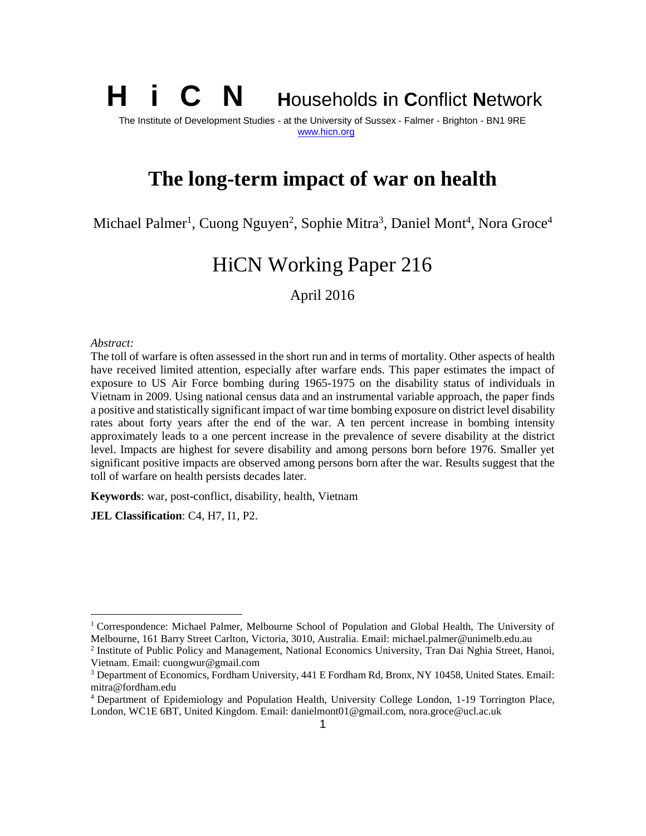## **H i C N <sup>H</sup>**ouseholds **<sup>i</sup>**<sup>n</sup> **<sup>C</sup>**onflict **<sup>N</sup>**etwork The Institute of Development Studies - at the University of Sussex - Falmer - Brighton - BN1 9RE www.hicn.org

# **The long-term impact of war on health**

Michael Palmer<sup>1</sup>, Cuong Nguyen<sup>2</sup>, Sophie Mitra<sup>3</sup>, Daniel Mont<sup>4</sup>, Nora Groce<sup>4</sup>

# HiCN Working Paper 216

April 2016

#### *Abstract:*

The toll of warfare is often assessed in the short run and in terms of mortality. Other aspects of health have received limited attention, especially after warfare ends. This paper estimates the impact of exposure to US Air Force bombing during 1965-1975 on the disability status of individuals in Vietnam in 2009. Using national census data and an instrumental variable approach, the paper finds a positive and statistically significant impact of war time bombing exposure on district level disability rates about forty years after the end of the war. A ten percent increase in bombing intensity approximately leads to a one percent increase in the prevalence of severe disability at the district level. Impacts are highest for severe disability and among persons born before 1976. Smaller yet significant positive impacts are observed among persons born after the war. Results suggest that the toll of warfare on health persists decades later.

**Keywords**: war, post-conflict, disability, health, Vietnam

**JEL Classification**: C4, H7, I1, P2.

<sup>1</sup> Correspondence: Michael Palmer, Melbourne School of Population and Global Health, The University of Melbourne, 161 Barry Street Carlton, Victoria, 3010, Australia. Email: michael.palmer@unimelb.edu.au

<sup>2</sup> Institute of Public Policy and Management, National Economics University, Tran Dai Nghia Street, Hanoi, Vietnam. Email: cuongwur@gmail.com

<sup>3</sup> Department of Economics, Fordham University, 441 E Fordham Rd, Bronx, NY 10458, United States. Email: mitra@fordham.edu

<sup>4</sup> Department of Epidemiology and Population Health, University College London, 1-19 Torrington Place, London, WC1E 6BT, United Kingdom. Email: danielmont01@gmail.com, nora.groce@ucl.ac.uk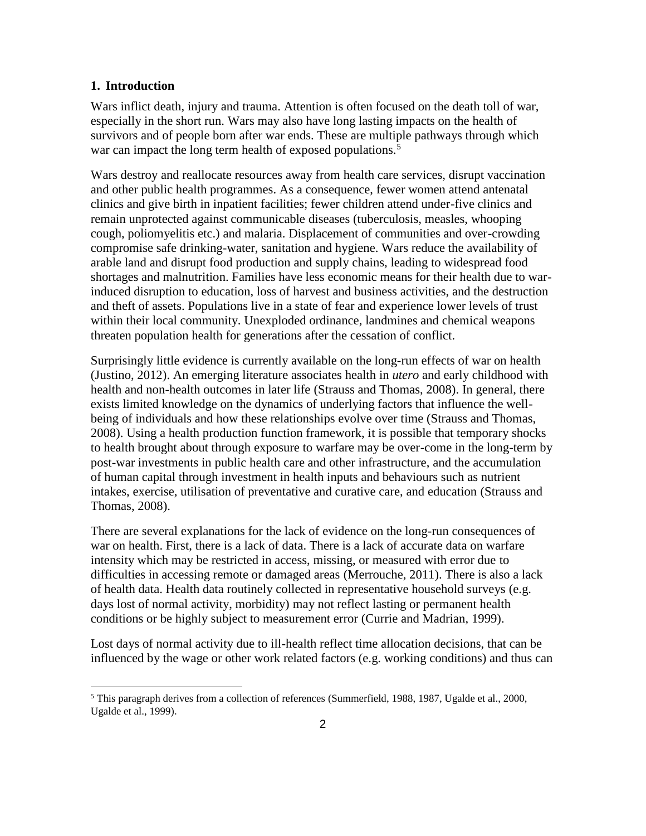#### **1. Introduction**

Wars inflict death, injury and trauma. Attention is often focused on the death toll of war, especially in the short run. Wars may also have long lasting impacts on the health of survivors and of people born after war ends. These are multiple pathways through which war can impact the long term health of exposed populations.<sup>5</sup>

Wars destroy and reallocate resources away from health care services, disrupt vaccination and other public health programmes. As a consequence, fewer women attend antenatal clinics and give birth in inpatient facilities; fewer children attend under-five clinics and remain unprotected against communicable diseases (tuberculosis, measles, whooping cough, poliomyelitis etc.) and malaria. Displacement of communities and over-crowding compromise safe drinking-water, sanitation and hygiene. Wars reduce the availability of arable land and disrupt food production and supply chains, leading to widespread food shortages and malnutrition. Families have less economic means for their health due to warinduced disruption to education, loss of harvest and business activities, and the destruction and theft of assets. Populations live in a state of fear and experience lower levels of trust within their local community. Unexploded ordinance, landmines and chemical weapons threaten population health for generations after the cessation of conflict.

Surprisingly little evidence is currently available on the long-run effects of war on health (Justino, 2012). An emerging literature associates health in *utero* and early childhood with health and non-health outcomes in later life (Strauss and Thomas, 2008). In general, there exists limited knowledge on the dynamics of underlying factors that influence the well being of individuals and how these relationships evolve over time (Strauss and Thomas, 2008). Using a health production function framework, it is possible that temporary shocks to health brought about through exposure to warfare may be over-come in the long-term by post-war investments in public health care and other infrastructure, and the accumulation of human capital through investment in health inputs and behaviours such as nutrient intakes, exercise, utilisation of preventative and curative care, and education (Strauss and Thomas, 2008).

There are several explanations for the lack of evidence on the long-run consequences of war on health. First, there is a lack of data. There is a lack of accurate data on warfare intensity which may be restricted in access, missing, or measured with error due to difficulties in accessing remote or damaged areas (Merrouche, 2011). There is also a lack of health data. Health data routinely collected in representative household surveys (e.g. days lost of normal activity, morbidity) may not reflect lasting or permanent health conditions or be highly subject to measurement error (Currie and Madrian, 1999).

Lost days of normal activity due to ill-health reflect time allocation decisions, that can be influenced by the wage or other work related factors (e.g. working conditions) and thus can

<sup>5</sup> This paragraph derives from a collection of references (Summerfield, 1988, 1987, Ugalde et al., 2000, Ugalde et al., 1999).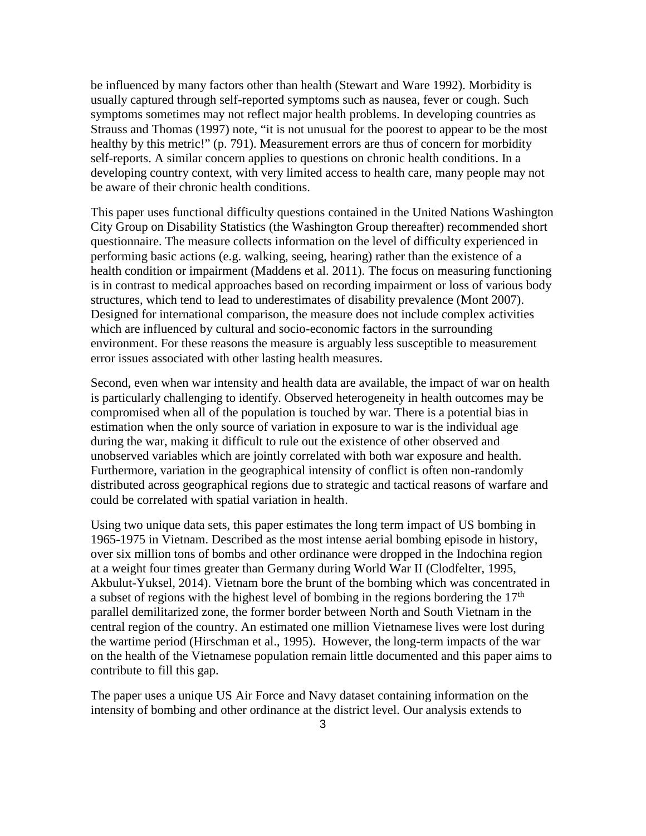be influenced by many factors other than health (Stewart and Ware 1992). Morbidity is usually captured through self-reported symptoms such as nausea, fever or cough. Such symptoms sometimes may not reflect major health problems. In developing countries as Strauss and Thomas (1997) note, "it is not unusual for the poorest to appear to be the most healthy by this metric!" (p. 791). Measurement errors are thus of concern for morbidity self-reports. A similar concern applies to questions on chronic health conditions. In a developing country context, with very limited access to health care, many people may not be aware of their chronic health conditions.

This paper uses functional difficulty questions contained in the United Nations Washington City Group on Disability Statistics (the Washington Group thereafter) recommended short questionnaire. The measure collects information on the level of difficulty experienced in performing basic actions (e.g. walking, seeing, hearing) rather than the existence of a health condition or impairment (Maddens et al. 2011). The focus on measuring functioning is in contrast to medical approaches based on recording impairment or loss of various body structures, which tend to lead to underestimates of disability prevalence (Mont 2007). Designed for international comparison, the measure does not include complex activities which are influenced by cultural and socio-economic factors in the surrounding environment. For these reasons the measure is arguably less susceptible to measurement error issues associated with other lasting health measures.

Second, even when war intensity and health data are available, the impact of war on health is particularly challenging to identify. Observed heterogeneity in health outcomes may be compromised when all of the population is touched by war. There is a potential bias in estimation when the only source of variation in exposure to war is the individual age during the war, making it difficult to rule out the existence of other observed and unobserved variables which are jointly correlated with both war exposure and health. Furthermore, variation in the geographical intensity of conflict is often non-randomly distributed across geographical regions due to strategic and tactical reasons of warfare and could be correlated with spatial variation in health.

Using two unique data sets, this paper estimates the long term impact of US bombing in 1965-1975 in Vietnam. Described as the most intense aerial bombing episode in history, over six million tons of bombs and other ordinance were dropped in the Indochina region at a weight four times greater than Germany during World War II (Clodfelter, 1995, Akbulut-Yuksel, 2014). Vietnam bore the brunt of the bombing which was concentrated in a subset of regions with the highest level of bombing in the regions bordering the  $17<sup>th</sup>$ parallel demilitarized zone, the former border between North and South Vietnam in the central region of the country. An estimated one million Vietnamese lives were lost during the wartime period (Hirschman et al., 1995). However, the long-term impacts of the war on the health of the Vietnamese population remain little documented and this paper aims to contribute to fill this gap.

The paper uses a unique US Air Force and Navy dataset containing information on the intensity of bombing and other ordinance at the district level. Our analysis extends to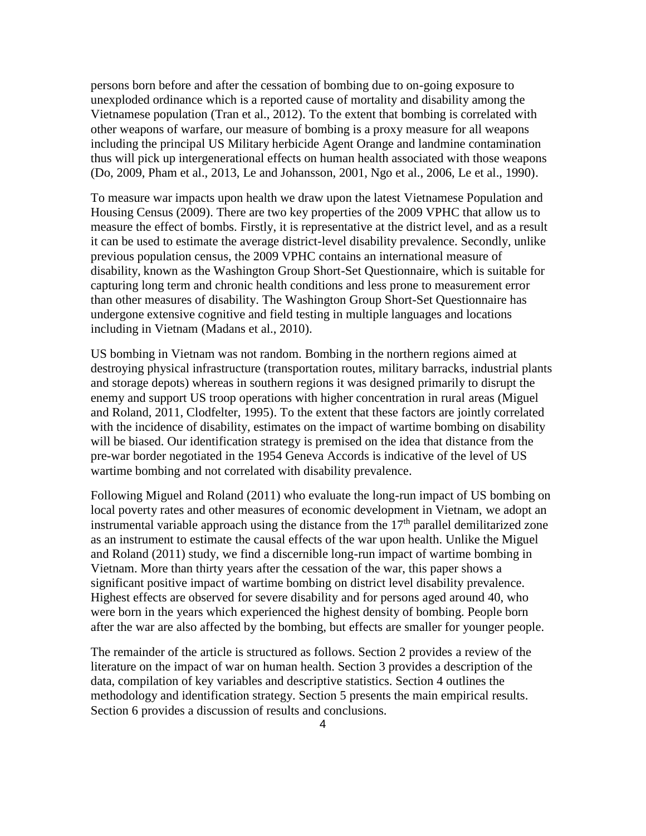persons born before and after the cessation of bombing due to on-going exposure to unexploded ordinance which is a reported cause of mortality and disability among the Vietnamese population (Tran et al., 2012). To the extent that bombing is correlated with other weapons of warfare, our measure of bombing is a proxy measure for all weapons including the principal US Military herbicide Agent Orange and landmine contamination thus will pick up intergenerational effects on human health associated with those weapons (Do, 2009, Pham et al., 2013, Le and Johansson, 2001, Ngo et al., 2006, Le et al., 1990).

To measure war impacts upon health we draw upon the latest Vietnamese Population and Housing Census (2009). There are two key properties of the 2009 VPHC that allow us to measure the effect of bombs. Firstly, it is representative at the district level, and as a result it can be used to estimate the average district-level disability prevalence. Secondly, unlike previous population census, the 2009 VPHC contains an international measure of disability, known as the Washington Group Short-Set Questionnaire, which is suitable for capturing long term and chronic health conditions and less prone to measurement error than other measures of disability. The Washington Group Short-Set Questionnaire has undergone extensive cognitive and field testing in multiple languages and locations including in Vietnam (Madans et al., 2010).

US bombing in Vietnam was not random. Bombing in the northern regions aimed at destroying physical infrastructure (transportation routes, military barracks, industrial plants and storage depots) whereas in southern regions it was designed primarily to disrupt the enemy and support US troop operations with higher concentration in rural areas (Miguel and Roland, 2011, Clodfelter, 1995). To the extent that these factors are jointly correlated with the incidence of disability, estimates on the impact of wartime bombing on disability will be biased. Our identification strategy is premised on the idea that distance from the pre-war border negotiated in the 1954 Geneva Accords is indicative of the level of US wartime bombing and not correlated with disability prevalence.

Following Miguel and Roland (2011) who evaluate the long-run impact of US bombing on local poverty rates and other measures of economic development in Vietnam, we adopt an instrumental variable approach using the distance from the  $17<sup>th</sup>$  parallel demilitarized zone as an instrument to estimate the causal effects of the war upon health. Unlike the Miguel and Roland (2011) study, we find a discernible long-run impact of wartime bombing in Vietnam. More than thirty years after the cessation of the war, this paper shows a significant positive impact of wartime bombing on district level disability prevalence. Highest effects are observed for severe disability and for persons aged around 40, who were born in the years which experienced the highest density of bombing. People born after the war are also affected by the bombing, but effects are smaller for younger people.

The remainder of the article is structured as follows. Section 2 provides a review of the literature on the impact of war on human health. Section 3 provides a description of the data, compilation of key variables and descriptive statistics. Section 4 outlines the methodology and identification strategy. Section 5 presents the main empirical results. Section 6 provides a discussion of results and conclusions.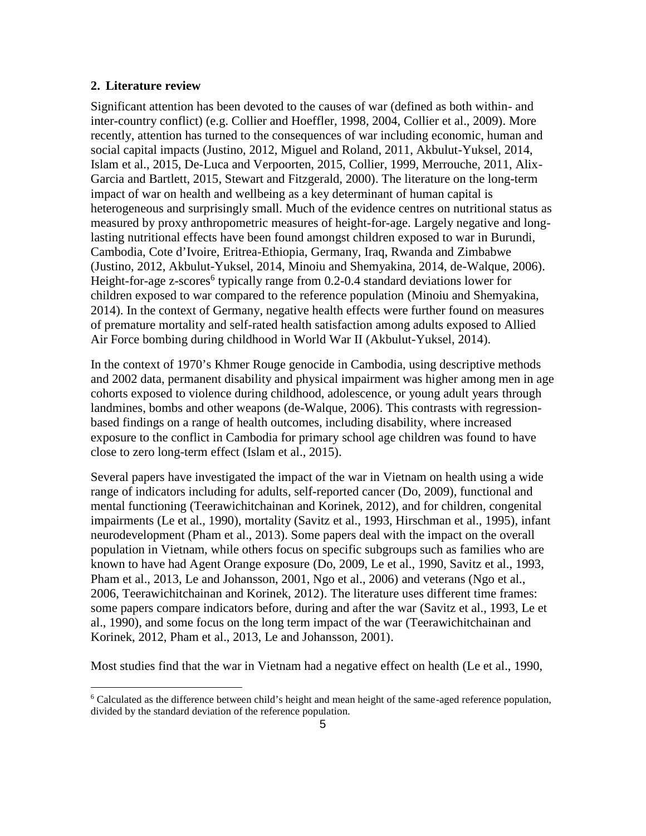#### **2. Literature review**

Significant attention has been devoted to the causes of war (defined as both within- and inter-country conflict) (e.g. Collier and Hoeffler, 1998, 2004, Collier et al., 2009). More recently, attention has turned to the consequences of war including economic, human and social capital impacts (Justino, 2012, Miguel and Roland, 2011, Akbulut-Yuksel, 2014, Islam et al., 2015, De-Luca and Verpoorten, 2015, Collier, 1999, Merrouche, 2011, Alix- Garcia and Bartlett, 2015, Stewart and Fitzgerald, 2000). The literature on the long-term impact of war on health and wellbeing as a key determinant of human capital is heterogeneous and surprisingly small. Much of the evidence centres on nutritional status as measured by proxy anthropometric measures of height-for-age. Largely negative and longlasting nutritional effects have been found amongst children exposed to war in Burundi, Cambodia, Cote d'Ivoire, Eritrea-Ethiopia, Germany, Iraq, Rwanda and Zimbabwe (Justino, 2012, Akbulut-Yuksel, 2014, Minoiu and Shemyakina, 2014, de-Walque, 2006). Height-for-age z-scores<sup>6</sup> typically range from 0.2-0.4 standard deviations lower for children exposed to war compared to the reference population (Minoiu and Shemyakina, 2014). In the context of Germany, negative health effects were further found on measures of premature mortality and self-rated health satisfaction among adults exposed to Allied Air Force bombing during childhood in World War II (Akbulut-Yuksel, 2014).

In the context of 1970's Khmer Rouge genocide in Cambodia, using descriptive methods and 2002 data, permanent disability and physical impairment was higher among men in age cohorts exposed to violence during childhood, adolescence, or young adult years through landmines, bombs and other weapons (de-Walque, 2006). This contrasts with regression based findings on a range of health outcomes, including disability, where increased exposure to the conflict in Cambodia for primary school age children was found to have close to zero long-term effect (Islam et al., 2015).

Several papers have investigated the impact of the war in Vietnam on health using a wide range of indicators including for adults, self-reported cancer (Do, 2009), functional and mental functioning (Teerawichitchainan and Korinek, 2012), and for children, congenital impairments (Le et al., 1990), mortality (Savitz et al., 1993, Hirschman et al., 1995), infant neurodevelopment (Pham et al., 2013). Some papers deal with the impact on the overall population in Vietnam, while others focus on specific subgroups such as families who are known to have had Agent Orange exposure (Do, 2009, Le et al., 1990, Savitz et al., 1993, Pham et al., 2013, Le and Johansson, 2001, Ngo et al., 2006) and veterans (Ngo et al., 2006, Teerawichitchainan and Korinek, 2012). The literature uses different time frames: some papers compare indicators before, during and after the war (Savitz et al., 1993, Le et al., 1990), and some focus on the long term impact of the war (Teerawichitchainan and Korinek, 2012, Pham et al., 2013, Le and Johansson, 2001).

Most studies find that the war in Vietnam had a negative effect on health (Le et al., 1990,

<sup>6</sup> Calculated as the difference between child's height and mean height of the same-aged reference population, divided by the standard deviation of the reference population.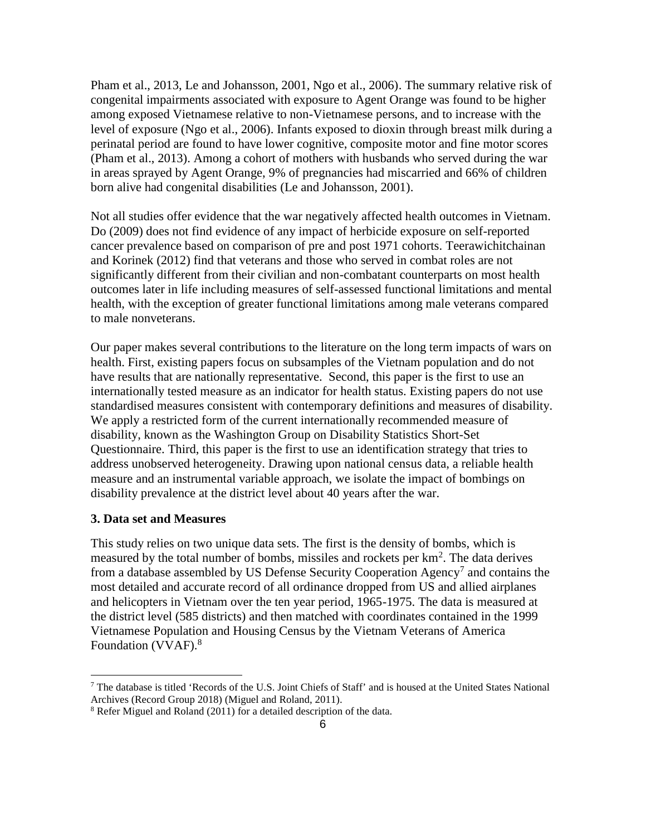Pham et al., 2013, Le and Johansson, 2001, Ngo et al., 2006). The summary relative risk of congenital impairments associated with exposure to Agent Orange was found to be higher among exposed Vietnamese relative to non-Vietnamese persons, and to increase with the level of exposure (Ngo et al., 2006). Infants exposed to dioxin through breast milk during a perinatal period are found to have lower cognitive, composite motor and fine motor scores (Pham et al., 2013). Among a cohort of mothers with husbands who served during the war in areas sprayed by Agent Orange, 9% of pregnancies had miscarried and 66% of children born alive had congenital disabilities (Le and Johansson, 2001).

Not all studies offer evidence that the war negatively affected health outcomes in Vietnam. Do (2009) does not find evidence of any impact of herbicide exposure on self-reported cancer prevalence based on comparison of pre and post 1971 cohorts. Teerawichitchainan and Korinek (2012) find that veterans and those who served in combat roles are not significantly different from their civilian and non-combatant counterparts on most health outcomes later in life including measures of self-assessed functional limitations and mental health, with the exception of greater functional limitations among male veterans compared to male nonveterans.

Our paper makes several contributions to the literature on the long term impacts of wars on health. First, existing papers focus on subsamples of the Vietnam population and do not have results that are nationally representative. Second, this paper is the first to use an internationally tested measure as an indicator for health status. Existing papers do not use standardised measures consistent with contemporary definitions and measures of disability. We apply a restricted form of the current internationally recommended measure of disability, known as the Washington Group on Disability Statistics Short-Set Questionnaire. Third, this paper is the first to use an identification strategy that tries to address unobserved heterogeneity. Drawing upon national census data, a reliable health measure and an instrumental variable approach, we isolate the impact of bombings on disability prevalence at the district level about 40 years after the war.

#### **3. Data set and Measures**

This study relies on two unique data sets. The first is the density of bombs, which is measured by the total number of bombs, missiles and rockets per km<sup>2</sup>. The data derives from a database assembled by US Defense Security Cooperation Agency<sup>7</sup> and contains the most detailed and accurate record of all ordinance dropped from US and allied airplanes and helicopters in Vietnam over the ten year period, 1965-1975. The data is measured at the district level (585 districts) and then matched with coordinates contained in the 1999 Vietnamese Population and Housing Census by the Vietnam Veterans of America Foundation (VVAF).<sup>8</sup>

<sup>&</sup>lt;sup>7</sup> The database is titled 'Records of the U.S. Joint Chiefs of Staff' and is housed at the United States National Archives (Record Group 2018) (Miguel and Roland, 2011).

<sup>8</sup> Refer Miguel and Roland (2011) for a detailed description of the data.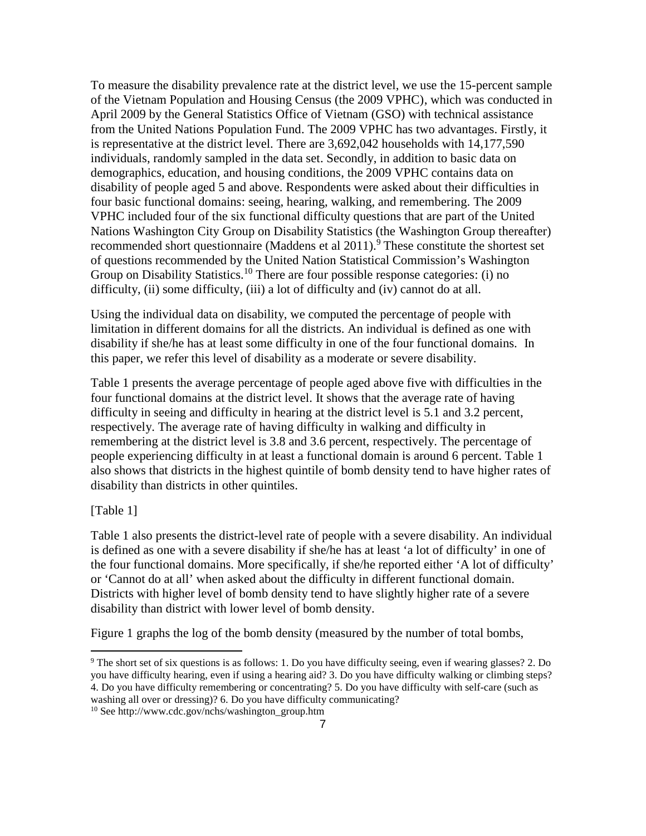To measure the disability prevalence rate at the district level, we use the 15-percent sample of the Vietnam Population and Housing Census (the 2009 VPHC), which was conducted in April 2009 by the General Statistics Office of Vietnam (GSO) with technical assistance from the United Nations Population Fund. The 2009 VPHC has two advantages. Firstly, it is representative at the district level. There are 3,692,042 households with 14,177,590 individuals, randomly sampled in the data set. Secondly, in addition to basic data on demographics, education, and housing conditions, the 2009 VPHC contains data on disability of people aged 5 and above. Respondents were asked about their difficulties in four basic functional domains: seeing, hearing, walking, and remembering. The 2009 VPHC included four of the six functional difficulty questions that are part of the United Nations Washington City Group on Disability Statistics (the Washington Group thereafter) recommended short questionnaire (Maddens et al 2011).<sup>9</sup> These constitute the shortest set of questions recommended by the United Nation Statistical Commission's Washington Group on Disability Statistics.<sup>10</sup> There are four possible response categories: (i) no difficulty, (ii) some difficulty, (iii) a lot of difficulty and (iv) cannot do at all.

Using the individual data on disability, we computed the percentage of people with limitation in different domains for all the districts. An individual is defined as one with disability if she/he has at least some difficulty in one of the four functional domains. In this paper, we refer this level of disability as a moderate or severe disability.

Table 1 presents the average percentage of people aged above five with difficulties in the four functional domains at the district level. It shows that the average rate of having difficulty in seeing and difficulty in hearing at the district level is 5.1 and 3.2 percent, respectively. The average rate of having difficulty in walking and difficulty in remembering at the district level is 3.8 and 3.6 percent, respectively. The percentage of people experiencing difficulty in at least a functional domain is around 6 percent. Table 1 also shows that districts in the highest quintile of bomb density tend to have higher rates of disability than districts in other quintiles.

### [Table 1]

Table 1 also presents the district-level rate of people with a severe disability. An individual is defined as one with a severe disability if she/he has at least 'a lot of difficulty' in one of the four functional domains. More specifically, if she/he reported either 'A lot of difficulty' or 'Cannot do at all' when asked about the difficulty in different functional domain. Districts with higher level of bomb density tend to have slightly higher rate of a severe disability than district with lower level of bomb density.

Figure 1 graphs the log of the bomb density (measured by the number of total bombs,

<sup>9</sup> The short set of six questions is as follows: 1. Do you have difficulty seeing, even if wearing glasses? 2. Do you have difficulty hearing, even if using a hearing aid? 3. Do you have difficulty walking or climbing steps? 4. Do you have difficulty remembering or concentrating? 5. Do you have difficulty with self-care (such as

washing all over or dressing)? 6. Do you have difficulty communicating?

<sup>10</sup> See http://www.cdc.gov/nchs/washington\_group.htm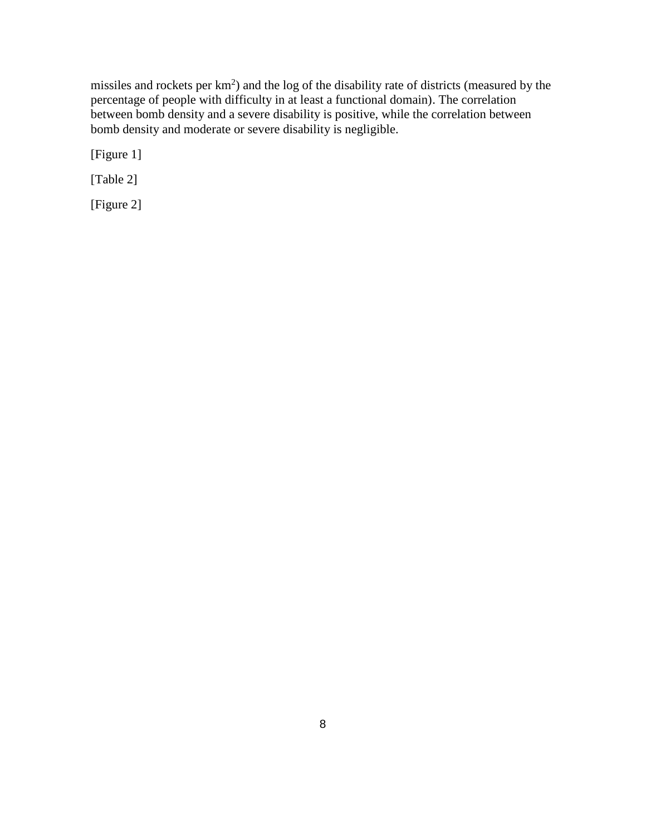missiles and rockets per  $km^2$ ) and the log of the disability rate of districts (measured by the percentage of people with difficulty in at least a functional domain). The correlation between bomb density and a severe disability is positive, while the correlation between bomb density and moderate or severe disability is negligible.

[Figure 1]

[Table 2]

[Figure 2]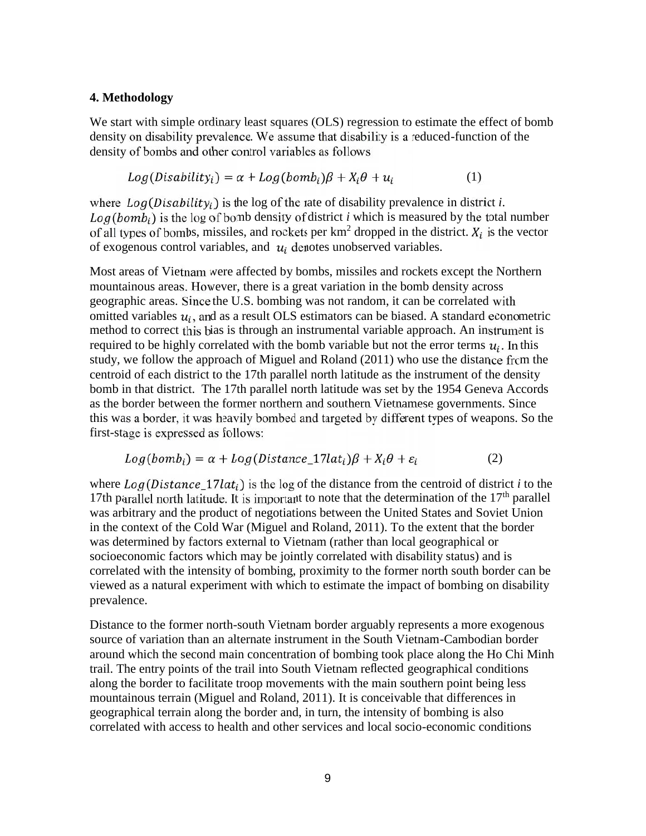#### **4. Methodology**

We start with simple ordinary least squares (OLS) regression to estimate the effect of bomb density on disability prevalence. We assume that disability is a reduced-function of the density of bombs and other control variables as follows

$$
Log(Disabilityi) = \alpha + Log(bombi)\beta + Xi\theta + ui
$$
 (1)

where  $Log(Disability<sub>i</sub>)$  is the log of the rate of disability prevalence in district *i*.  $Log(bomb<sub>i</sub>)$  is the log of bomb density of district *i* which is measured by the total number of all types of bombs, missiles, and rockets per  $km^2$  dropped in the district.  $X_i$  is the vector of exogenous control variables, and  $u_i$  denotes unobserved variables.

Most areas of Vietnam were affected by bombs, missiles and rockets except the Northern mountainous areas. However, there is a great variation in the bomb density across geographic areas. Since the U.S. bombing was not random, it can be correlated with omitted variables  $u_i$ , and as a result OLS estimators can be biased. A standard econometric method to correct this bias is through an instrumental variable approach. An instrument is required to be highly correlated with the bomb variable but not the error terms  $u_i$ . In this study, we follow the approach of Miguel and Roland (2011) who use the distance from the centroid of each district to the 17th parallel north latitude as the instrument of the density bomb in that district. The 17th parallel north latitude was set by the 1954 Geneva Accords as the border between the former northern and southern Vietnamese governments. Since this was a border, it was heavily bombed and targeted by different types of weapons. So the first-stage is expressed as follows:

$$
Log(bombi) = \alpha + Log(Distance_17lati)\beta + X_i\theta + \varepsilon_i
$$
 (2)

where  $Log(Distance 17 lat_i)$  is the log of the distance from the centroid of district *i* to the 17th parallel north latitude. It is important to note that the determination of the  $17<sup>th</sup>$  parallel was arbitrary and the product of negotiations between the United States and Soviet Union in the context of the Cold War (Miguel and Roland, 2011). To the extent that the border was determined by factors external to Vietnam (rather than local geographical or socioeconomic factors which may be jointly correlated with disability status) and is correlated with the intensity of bombing, proximity to the former north south border can be viewed as a natural experiment with which to estimate the impact of bombing on disability prevalence.

Distance to the former north-south Vietnam border arguably represents a more exogenous source of variation than an alternate instrument in the South Vietnam-Cambodian border around which the second main concentration of bombing took place along the Ho Chi Minh trail. The entry points of the trail into South Vietnam reflected geographical conditions along the border to facilitate troop movements with the main southern point being less mountainous terrain (Miguel and Roland, 2011). It is conceivable that differences in geographical terrain along the border and, in turn, the intensity of bombing is also correlated with access to health and other services and local socio-economic conditions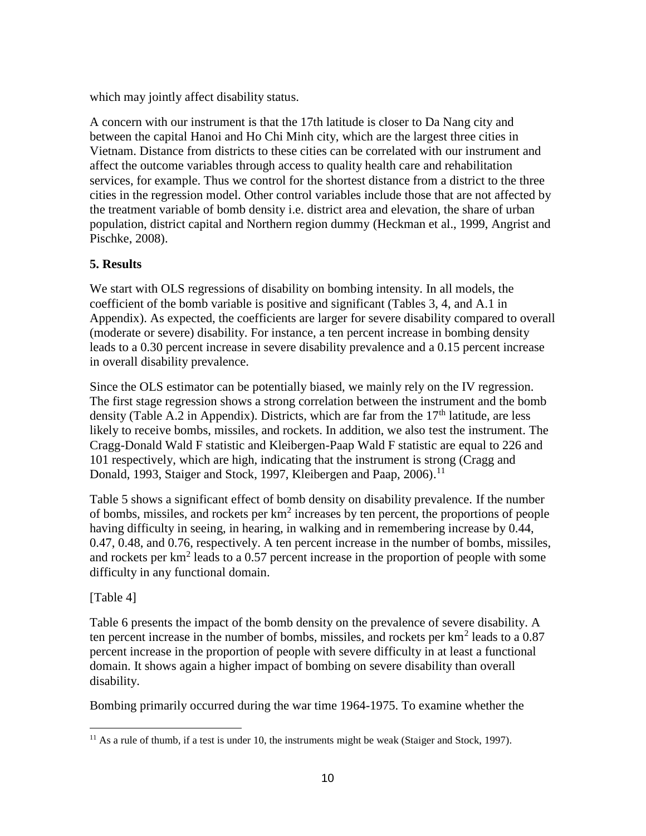which may jointly affect disability status.

A concern with our instrument is that the 17th latitude is closer to Da Nang city and between the capital Hanoi and Ho Chi Minh city, which are the largest three cities in Vietnam. Distance from districts to these cities can be correlated with our instrument and affect the outcome variables through access to quality health care and rehabilitation services, for example. Thus we control for the shortest distance from a district to the three cities in the regression model. Other control variables include those that are not affected by the treatment variable of bomb density i.e. district area and elevation, the share of urban population, district capital and Northern region dummy (Heckman et al., 1999, Angrist and Pischke, 2008).

### **5. Results**

We start with OLS regressions of disability on bombing intensity. In all models, the coefficient of the bomb variable is positive and significant (Tables 3, 4, and A.1 in Appendix). As expected, the coefficients are larger for severe disability compared to overall (moderate or severe) disability. For instance, a ten percent increase in bombing density leads to a 0.30 percent increase in severe disability prevalence and a 0.15 percent increase in overall disability prevalence.

Since the OLS estimator can be potentially biased, we mainly rely on the IV regression. The first stage regression shows a strong correlation between the instrument and the bomb density (Table A.2 in Appendix). Districts, which are far from the  $17<sup>th</sup>$  latitude, are less likely to receive bombs, missiles, and rockets. In addition, we also test the instrument. The Cragg-Donald Wald F statistic and Kleibergen-Paap Wald F statistic are equal to 226 and 101 respectively, which are high, indicating that the instrument is strong (Cragg and Donald, 1993, Staiger and Stock, 1997, Kleibergen and Paap, 2006).<sup>11</sup>

Table 5 shows a significant effect of bomb density on disability prevalence. If the number of bombs, missiles, and rockets per km<sup>2</sup> increases by ten percent, the proportions of people having difficulty in seeing, in hearing, in walking and in remembering increase by 0.44, 0.47, 0.48, and 0.76, respectively. A ten percent increase in the number of bombs, missiles, and rockets per km<sup>2</sup> leads to a 0.57 percent increase in the proportion of people with some difficulty in any functional domain.

### [Table 4]

Table 6 presents the impact of the bomb density on the prevalence of severe disability. A ten percent increase in the number of bombs, missiles, and rockets per  $km^2$  leads to a 0.87 percent increase in the proportion of people with severe difficulty in at least a functional domain. It shows again a higher impact of bombing on severe disability than overall disability.

Bombing primarily occurred during the war time 1964-1975. To examine whether the

 $11$  As a rule of thumb, if a test is under 10, the instruments might be weak (Staiger and Stock, 1997).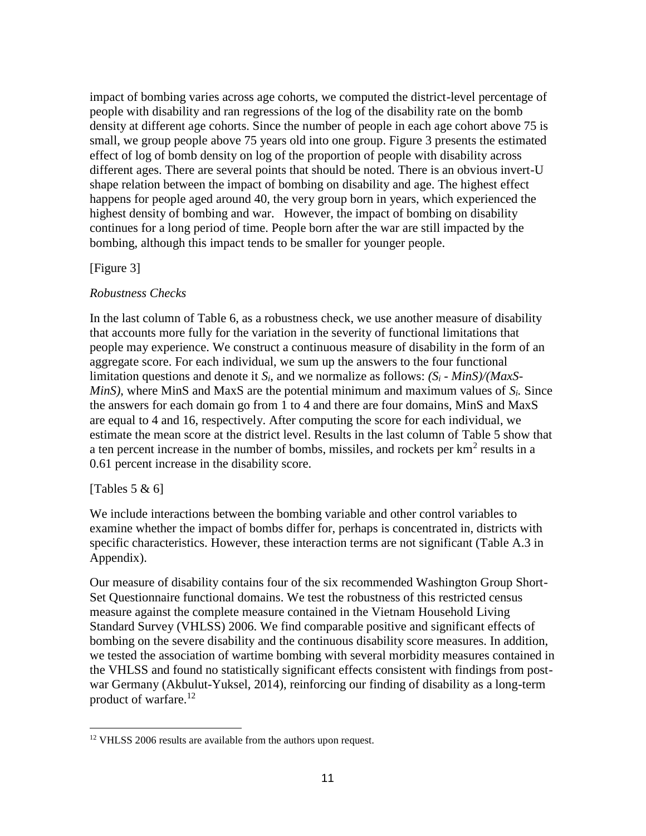impact of bombing varies across age cohorts, we computed the district-level percentage of people with disability and ran regressions of the log of the disability rate on the bomb density at different age cohorts. Since the number of people in each age cohort above 75 is small, we group people above 75 years old into one group. Figure 3 presents the estimated effect of log of bomb density on log of the proportion of people with disability across different ages. There are several points that should be noted. There is an obvious invert-U shape relation between the impact of bombing on disability and age. The highest effect happens for people aged around 40, the very group born in years, which experienced the highest density of bombing and war. However, the impact of bombing on disability continues for a long period of time. People born after the war are still impacted by the bombing, although this impact tends to be smaller for younger people.

#### [Figure 3]

### *Robustness Checks*

In the last column of Table 6, as a robustness check, we use another measure of disability that accounts more fully for the variation in the severity of functional limitations that people may experience. We construct a continuous measure of disability in the form of an aggregate score. For each individual, we sum up the answers to the four functional limitation questions and denote it *Si*, and we normalize as follows: *(S<sup>i</sup> - MinS)/(MaxS- MinS)*, where MinS and MaxS are the potential minimum and maximum values of *Si.* Since the answers for each domain go from 1 to 4 and there are four domains, MinS and MaxS are equal to 4 and 16, respectively. After computing the score for each individual, we estimate the mean score at the district level. Results in the last column of Table 5 show that a ten percent increase in the number of bombs, missiles, and rockets per  $km^2$  results in a 0.61 percent increase in the disability score.

### [Tables  $5 & 6$ ]

We include interactions between the bombing variable and other control variables to examine whether the impact of bombs differ for, perhaps is concentrated in, districts with specific characteristics. However, these interaction terms are not significant (Table A.3 in Appendix).

Our measure of disability contains four of the six recommended Washington Group Short- Set Questionnaire functional domains. We test the robustness of this restricted census measure against the complete measure contained in the Vietnam Household Living Standard Survey (VHLSS) 2006. We find comparable positive and significant effects of bombing on the severe disability and the continuous disability score measures. In addition, we tested the association of wartime bombing with several morbidity measures contained in the VHLSS and found no statistically significant effects consistent with findings from post war Germany (Akbulut-Yuksel, 2014), reinforcing our finding of disability as a long-term product of warfare.<sup>12</sup>

<sup>&</sup>lt;sup>12</sup> VHLSS 2006 results are available from the authors upon request.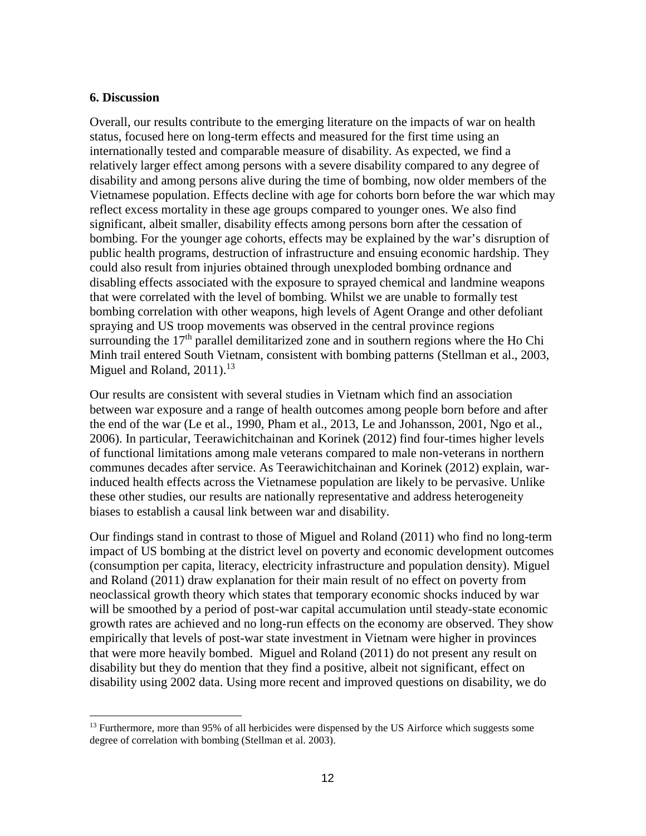#### **6. Discussion**

Overall, our results contribute to the emerging literature on the impacts of war on health status, focused here on long-term effects and measured for the first time using an internationally tested and comparable measure of disability. As expected, we find a relatively larger effect among persons with a severe disability compared to any degree of disability and among persons alive during the time of bombing, now older members of the Vietnamese population. Effects decline with age for cohorts born before the war which may reflect excess mortality in these age groups compared to younger ones. We also find significant, albeit smaller, disability effects among persons born after the cessation of bombing. For the younger age cohorts, effects may be explained by the war's disruption of public health programs, destruction of infrastructure and ensuing economic hardship. They could also result from injuries obtained through unexploded bombing ordnance and disabling effects associated with the exposure to sprayed chemical and landmine weapons that were correlated with the level of bombing. Whilst we are unable to formally test bombing correlation with other weapons, high levels of Agent Orange and other defoliant spraying and US troop movements was observed in the central province regions surrounding the  $17<sup>th</sup>$  parallel demilitarized zone and in southern regions where the Ho Chi Minh trail entered South Vietnam, consistent with bombing patterns (Stellman et al., 2003, Miguel and Roland,  $2011$ ).<sup>13</sup>

Our results are consistent with several studies in Vietnam which find an association between war exposure and a range of health outcomes among people born before and after the end of the war (Le et al., 1990, Pham et al., 2013, Le and Johansson, 2001, Ngo et al., 2006). In particular, Teerawichitchainan and Korinek (2012) find four-times higher levels of functional limitations among male veterans compared to male non-veterans in northern communes decades after service. As Teerawichitchainan and Korinek (2012) explain, warinduced health effects across the Vietnamese population are likely to be pervasive. Unlike these other studies, our results are nationally representative and address heterogeneity biases to establish a causal link between war and disability.

Our findings stand in contrast to those of Miguel and Roland (2011) who find no long-term impact of US bombing at the district level on poverty and economic development outcomes (consumption per capita, literacy, electricity infrastructure and population density). Miguel and Roland (2011) draw explanation for their main result of no effect on poverty from neoclassical growth theory which states that temporary economic shocks induced by war will be smoothed by a period of post-war capital accumulation until steady-state economic growth rates are achieved and no long-run effects on the economy are observed. They show empirically that levels of post-war state investment in Vietnam were higher in provinces that were more heavily bombed. Miguel and Roland (2011) do not present any result on disability but they do mention that they find a positive, albeit not significant, effect on disability using 2002 data. Using more recent and improved questions on disability, we do

<sup>&</sup>lt;sup>13</sup> Furthermore, more than 95% of all herbicides were dispensed by the US Airforce which suggests some degree of correlation with bombing (Stellman et al. 2003).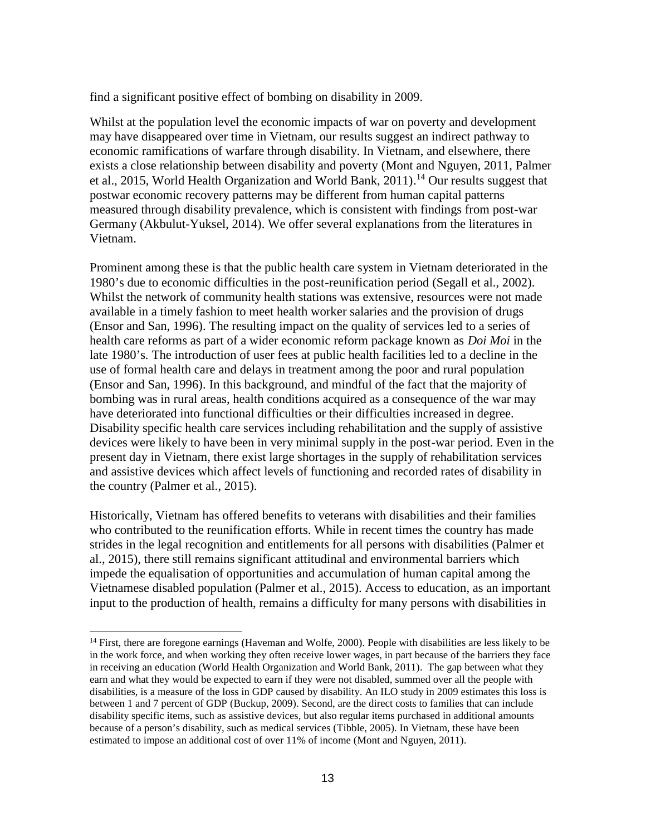find a significant positive effect of bombing on disability in 2009.

Whilst at the population level the economic impacts of war on poverty and development may have disappeared over time in Vietnam, our results suggest an indirect pathway to economic ramifications of warfare through disability. In Vietnam, and elsewhere, there exists a close relationship between disability and poverty (Mont and Nguyen, 2011, Palmer et al., 2015, World Health Organization and World Bank, 2011).<sup>14</sup> Our results suggest that postwar economic recovery patterns may be different from human capital patterns measured through disability prevalence, which is consistent with findings from post-war Germany (Akbulut-Yuksel, 2014). We offer several explanations from the literatures in Vietnam.

Prominent among these is that the public health care system in Vietnam deteriorated in the 1980's due to economic difficulties in the post-reunification period (Segall et al., 2002). Whilst the network of community health stations was extensive, resources were not made available in a timely fashion to meet health worker salaries and the provision of drugs (Ensor and San, 1996). The resulting impact on the quality of services led to a series of health care reforms as part of a wider economic reform package known as *Doi Moi* in the late 1980's*.* The introduction of user fees at public health facilities led to a decline in the use of formal health care and delays in treatment among the poor and rural population (Ensor and San, 1996). In this background, and mindful of the fact that the majority of bombing was in rural areas, health conditions acquired as a consequence of the war may have deteriorated into functional difficulties or their difficulties increased in degree. Disability specific health care services including rehabilitation and the supply of assistive devices were likely to have been in very minimal supply in the post-war period. Even in the present day in Vietnam, there exist large shortages in the supply of rehabilitation services and assistive devices which affect levels of functioning and recorded rates of disability in the country (Palmer et al., 2015).

Historically, Vietnam has offered benefits to veterans with disabilities and their families who contributed to the reunification efforts. While in recent times the country has made strides in the legal recognition and entitlements for all persons with disabilities (Palmer et al., 2015), there still remains significant attitudinal and environmental barriers which impede the equalisation of opportunities and accumulation of human capital among the Vietnamese disabled population (Palmer et al., 2015). Access to education, as an important input to the production of health, remains a difficulty for many persons with disabilities in

<sup>&</sup>lt;sup>14</sup> First, there are foregone earnings (Haveman and Wolfe, 2000). People with disabilities are less likely to be in the work force, and when working they often receive lower wages, in part because of the barriers they face in receiving an education (World Health Organization and World Bank, 2011). The gap between what they earn and what they would be expected to earn if they were not disabled, summed over all the people with disabilities, is a measure of the loss in GDP caused by disability. An ILO study in 2009 estimates this loss is between 1 and 7 percent of GDP (Buckup, 2009). Second, are the direct costs to families that can include disability specific items, such as assistive devices, but also regular items purchased in additional amounts because of a person's disability, such as medical services (Tibble, 2005). In Vietnam, these have been estimated to impose an additional cost of over 11% of income (Mont and Nguyen, 2011).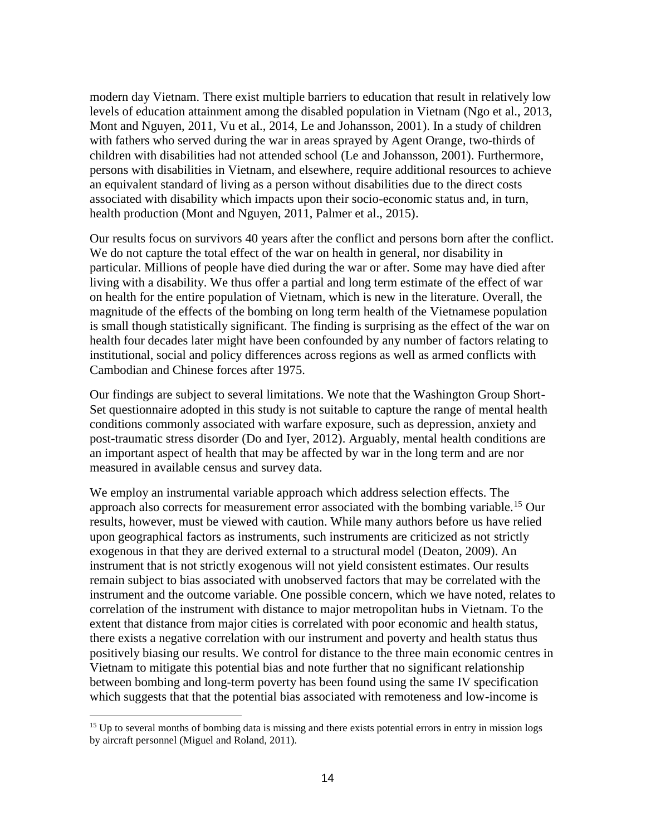modern day Vietnam. There exist multiple barriers to education that result in relatively low levels of education attainment among the disabled population in Vietnam (Ngo et al., 2013, Mont and Nguyen, 2011, Vu et al., 2014, Le and Johansson, 2001). In a study of children with fathers who served during the war in areas sprayed by Agent Orange, two-thirds of children with disabilities had not attended school (Le and Johansson, 2001). Furthermore, persons with disabilities in Vietnam, and elsewhere, require additional resources to achieve an equivalent standard of living as a person without disabilities due to the direct costs associated with disability which impacts upon their socio-economic status and, in turn, health production (Mont and Nguyen, 2011, Palmer et al., 2015).

Our results focus on survivors 40 years after the conflict and persons born after the conflict. We do not capture the total effect of the war on health in general, nor disability in particular. Millions of people have died during the war or after. Some may have died after living with a disability. We thus offer a partial and long term estimate of the effect of war on health for the entire population of Vietnam, which is new in the literature. Overall, the magnitude of the effects of the bombing on long term health of the Vietnamese population is small though statistically significant. The finding is surprising as the effect of the war on health four decades later might have been confounded by any number of factors relating to institutional, social and policy differences across regions as well as armed conflicts with Cambodian and Chinese forces after 1975.

Our findings are subject to several limitations. We note that the Washington Group Short- Set questionnaire adopted in this study is not suitable to capture the range of mental health conditions commonly associated with warfare exposure, such as depression, anxiety and post-traumatic stress disorder (Do and Iyer, 2012). Arguably, mental health conditions are an important aspect of health that may be affected by war in the long term and are nor measured in available census and survey data.

We employ an instrumental variable approach which address selection effects. The approach also corrects for measurement error associated with the bombing variable.<sup>15</sup> Our results, however, must be viewed with caution. While many authors before us have relied upon geographical factors as instruments, such instruments are criticized as not strictly exogenous in that they are derived external to a structural model (Deaton, 2009). An instrument that is not strictly exogenous will not yield consistent estimates. Our results remain subject to bias associated with unobserved factors that may be correlated with the instrument and the outcome variable. One possible concern, which we have noted, relates to correlation of the instrument with distance to major metropolitan hubs in Vietnam. To the extent that distance from major cities is correlated with poor economic and health status, there exists a negative correlation with our instrument and poverty and health status thus positively biasing our results. We control for distance to the three main economic centres in Vietnam to mitigate this potential bias and note further that no significant relationship between bombing and long-term poverty has been found using the same IV specification which suggests that that the potential bias associated with remoteness and low-income is

<sup>&</sup>lt;sup>15</sup> Up to several months of bombing data is missing and there exists potential errors in entry in mission logs by aircraft personnel (Miguel and Roland, 2011).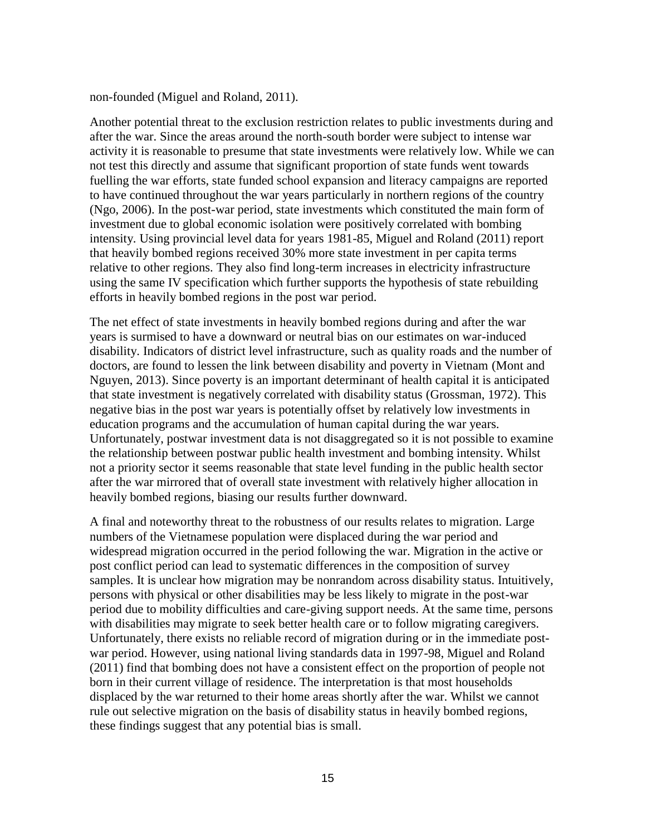non-founded (Miguel and Roland, 2011).

Another potential threat to the exclusion restriction relates to public investments during and after the war. Since the areas around the north-south border were subject to intense war activity it is reasonable to presume that state investments were relatively low. While we can not test this directly and assume that significant proportion of state funds went towards fuelling the war efforts, state funded school expansion and literacy campaigns are reported to have continued throughout the war years particularly in northern regions of the country (Ngo, 2006). In the post-war period, state investments which constituted the main form of investment due to global economic isolation were positively correlated with bombing intensity. Using provincial level data for years 1981-85, Miguel and Roland (2011) report that heavily bombed regions received 30% more state investment in per capita terms relative to other regions. They also find long-term increases in electricity infrastructure using the same IV specification which further supports the hypothesis of state rebuilding efforts in heavily bombed regions in the post war period.

The net effect of state investments in heavily bombed regions during and after the war years is surmised to have a downward or neutral bias on our estimates on war-induced disability. Indicators of district level infrastructure, such as quality roads and the number of doctors, are found to lessen the link between disability and poverty in Vietnam (Mont and Nguyen, 2013). Since poverty is an important determinant of health capital it is anticipated that state investment is negatively correlated with disability status (Grossman, 1972). This negative bias in the post war years is potentially offset by relatively low investments in education programs and the accumulation of human capital during the war years. Unfortunately, postwar investment data is not disaggregated so it is not possible to examine the relationship between postwar public health investment and bombing intensity. Whilst not a priority sector it seems reasonable that state level funding in the public health sector after the war mirrored that of overall state investment with relatively higher allocation in heavily bombed regions, biasing our results further downward.

A final and noteworthy threat to the robustness of our results relates to migration. Large numbers of the Vietnamese population were displaced during the war period and widespread migration occurred in the period following the war. Migration in the active or post conflict period can lead to systematic differences in the composition of survey samples. It is unclear how migration may be nonrandom across disability status. Intuitively, persons with physical or other disabilities may be less likely to migrate in the post-war period due to mobility difficulties and care-giving support needs. At the same time, persons with disabilities may migrate to seek better health care or to follow migrating caregivers. Unfortunately, there exists no reliable record of migration during or in the immediate post war period. However, using national living standards data in 1997-98, Miguel and Roland (2011) find that bombing does not have a consistent effect on the proportion of people not born in their current village of residence. The interpretation is that most households displaced by the war returned to their home areas shortly after the war. Whilst we cannot rule out selective migration on the basis of disability status in heavily bombed regions, these findings suggest that any potential bias is small.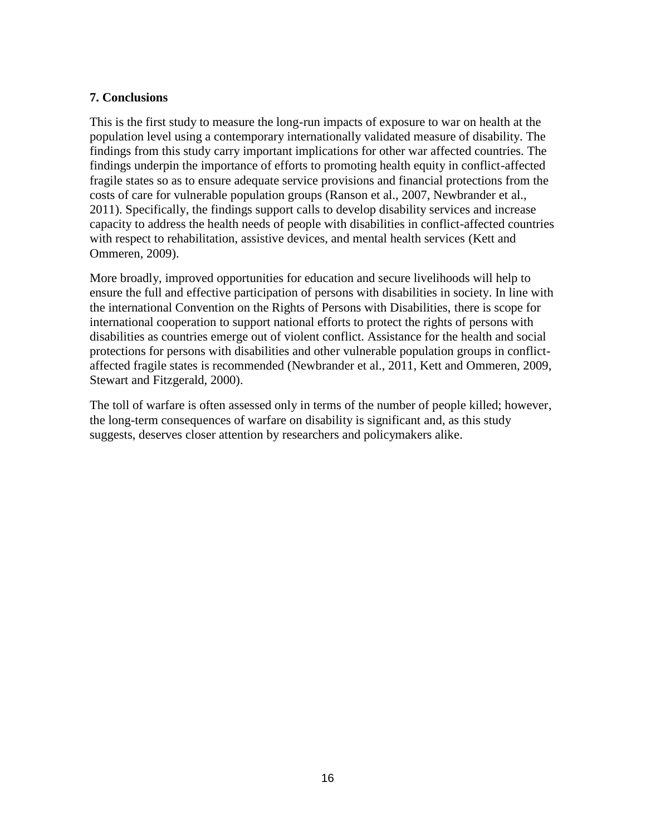### **7. Conclusions**

This is the first study to measure the long-run impacts of exposure to war on health at the population level using a contemporary internationally validated measure of disability. The findings from this study carry important implications for other war affected countries. The findings underpin the importance of efforts to promoting health equity in conflict-affected fragile states so as to ensure adequate service provisions and financial protections from the costs of care for vulnerable population groups (Ranson et al., 2007, Newbrander et al., 2011). Specifically, the findings support calls to develop disability services and increase capacity to address the health needs of people with disabilities in conflict-affected countries with respect to rehabilitation, assistive devices, and mental health services (Kett and Ommeren, 2009).

More broadly, improved opportunities for education and secure livelihoods will help to ensure the full and effective participation of persons with disabilities in society. In line with the international Convention on the Rights of Persons with Disabilities, there is scope for international cooperation to support national efforts to protect the rights of persons with disabilities as countries emerge out of violent conflict. Assistance for the health and social protections for persons with disabilities and other vulnerable population groups in conflict affected fragile states is recommended (Newbrander et al., 2011, Kett and Ommeren, 2009, Stewart and Fitzgerald, 2000).

The toll of warfare is often assessed only in terms of the number of people killed; however, the long-term consequences of warfare on disability is significant and, as this study suggests, deserves closer attention by researchers and policymakers alike.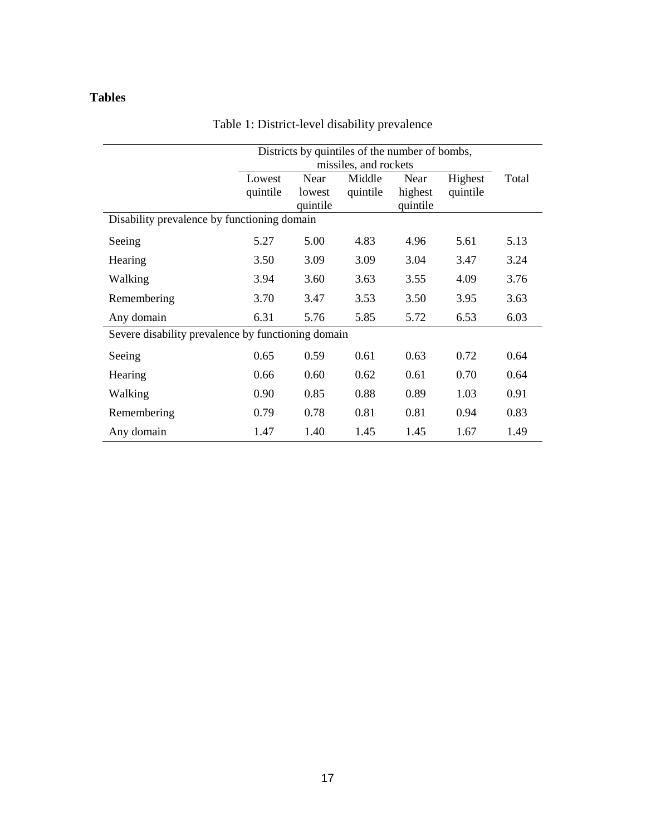## **Tables**

|                                                    | Districts by quintiles of the number of bombs,<br>missiles, and rockets |                            |                    |                             |                     |       |
|----------------------------------------------------|-------------------------------------------------------------------------|----------------------------|--------------------|-----------------------------|---------------------|-------|
|                                                    | Lowest<br>quintile                                                      | Near<br>lowest<br>quintile | Middle<br>quintile | Near<br>highest<br>quintile | Highest<br>quintile | Total |
| Disability prevalence by functioning domain        |                                                                         |                            |                    |                             |                     |       |
| Seeing                                             | 5.27                                                                    | 5.00                       | 4.83               | 4.96                        | 5.61                | 5.13  |
| Hearing                                            | 3.50                                                                    | 3.09                       | 3.09               | 3.04                        | 3.47                | 3.24  |
| Walking                                            | 3.94                                                                    | 3.60                       | 3.63               | 3.55                        | 4.09                | 3.76  |
| Remembering                                        | 3.70                                                                    | 3.47                       | 3.53               | 3.50                        | 3.95                | 3.63  |
| Any domain                                         | 6.31                                                                    | 5.76                       | 5.85               | 5.72                        | 6.53                | 6.03  |
| Severe disability prevalence by functioning domain |                                                                         |                            |                    |                             |                     |       |
| Seeing                                             | 0.65                                                                    | 0.59                       | 0.61               | 0.63                        | 0.72                | 0.64  |
| Hearing                                            | 0.66                                                                    | 0.60                       | 0.62               | 0.61                        | 0.70                | 0.64  |
| Walking                                            | 0.90                                                                    | 0.85                       | 0.88               | 0.89                        | 1.03                | 0.91  |
| Remembering                                        | 0.79                                                                    | 0.78                       | 0.81               | 0.81                        | 0.94                | 0.83  |
| Any domain                                         | 1.47                                                                    | 1.40                       | 1.45               | 1.45                        | 1.67                | 1.49  |

## Table 1: District-level disability prevalence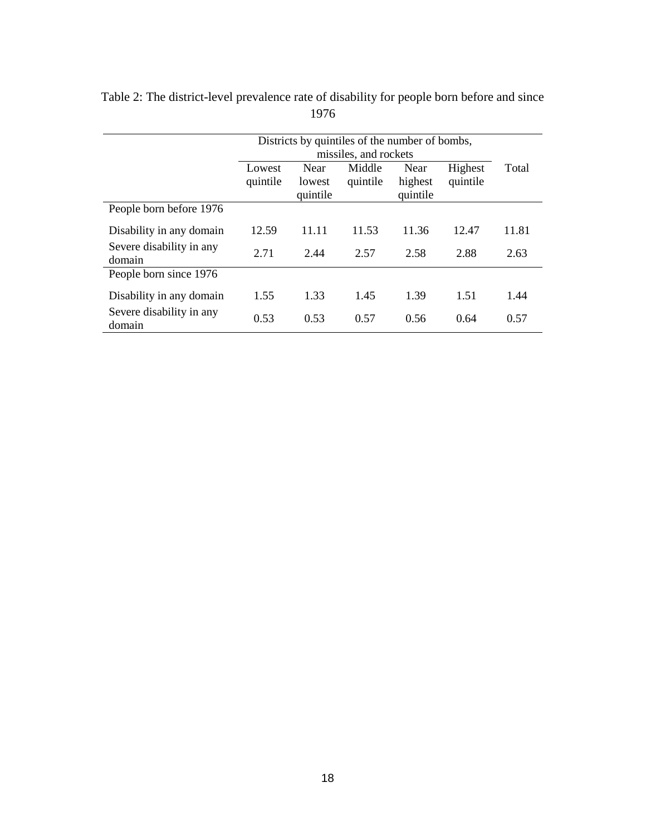|                                    | Districts by quintiles of the number of bombs, |                            |                       |                             |                     |       |
|------------------------------------|------------------------------------------------|----------------------------|-----------------------|-----------------------------|---------------------|-------|
|                                    |                                                |                            | missiles, and rockets |                             |                     |       |
|                                    | Lowest<br>quintile                             | Near<br>lowest<br>quintile | Middle<br>quintile    | Near<br>highest<br>quintile | Highest<br>quintile | Total |
| People born before 1976            |                                                |                            |                       |                             |                     |       |
| Disability in any domain           | 12.59                                          | 11.11                      | 11.53                 | 11.36                       | 12.47               | 11.81 |
| Severe disability in any<br>domain | 2.71                                           | 2.44                       | 2.57                  | 2.58                        | 2.88                | 2.63  |
| People born since 1976             |                                                |                            |                       |                             |                     |       |
| Disability in any domain           | 1.55                                           | 1.33                       | 1.45                  | 1.39                        | 1.51                | 1.44  |
| Severe disability in any<br>domain | 0.53                                           | 0.53                       | 0.57                  | 0.56                        | 0.64                | 0.57  |

Table 2: The district-level prevalence rate of disability for people born before and since 1976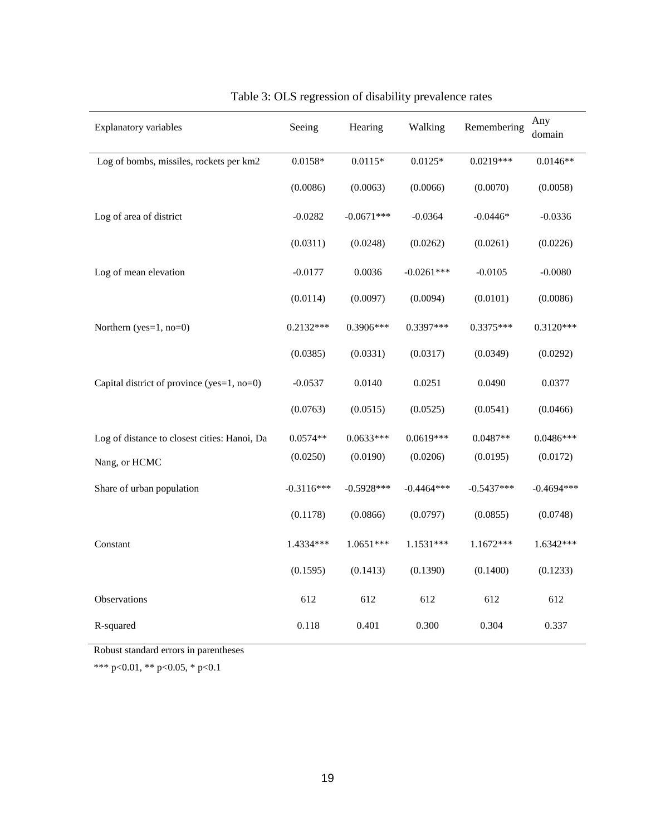| Explanatory variables                        | Seeing       | Hearing      | Walking      | Remembering  | Any<br>domain |
|----------------------------------------------|--------------|--------------|--------------|--------------|---------------|
| Log of bombs, missiles, rockets per km2      | $0.0158*$    | $0.0115*$    | $0.0125*$    | $0.0219***$  | $0.0146**$    |
|                                              | (0.0086)     | (0.0063)     | (0.0066)     | (0.0070)     | (0.0058)      |
| Log of area of district                      | $-0.0282$    | $-0.0671***$ | $-0.0364$    | $-0.0446*$   | $-0.0336$     |
|                                              | (0.0311)     | (0.0248)     | (0.0262)     | (0.0261)     | (0.0226)      |
| Log of mean elevation                        | $-0.0177$    | 0.0036       | $-0.0261***$ | $-0.0105$    | $-0.0080$     |
|                                              | (0.0114)     | (0.0097)     | (0.0094)     | (0.0101)     | (0.0086)      |
| Northern $(yes=1, no=0)$                     | $0.2132***$  | 0.3906***    | 0.3397***    | 0.3375***    | $0.3120***$   |
|                                              | (0.0385)     | (0.0331)     | (0.0317)     | (0.0349)     | (0.0292)      |
| Capital district of province (yes=1, no=0)   | $-0.0537$    | 0.0140       | 0.0251       | 0.0490       | 0.0377        |
|                                              | (0.0763)     | (0.0515)     | (0.0525)     | (0.0541)     | (0.0466)      |
| Log of distance to closest cities: Hanoi, Da | $0.0574**$   | $0.0633***$  | $0.0619***$  | $0.0487**$   | $0.0486***$   |
| Nang, or HCMC                                | (0.0250)     | (0.0190)     | (0.0206)     | (0.0195)     | (0.0172)      |
| Share of urban population                    | $-0.3116***$ | $-0.5928***$ | $-0.4464***$ | $-0.5437***$ | $-0.4694***$  |
|                                              | (0.1178)     | (0.0866)     | (0.0797)     | (0.0855)     | (0.0748)      |
| Constant                                     | 1.4334***    | $1.0651***$  | 1.1531***    | $1.1672***$  | $1.6342***$   |
|                                              | (0.1595)     | (0.1413)     | (0.1390)     | (0.1400)     | (0.1233)      |
| Observations                                 | 612          | 612          | 612          | 612          | 612           |
| R-squared                                    | 0.118        | 0.401        | 0.300        | 0.304        | 0.337         |

## Table 3: OLS regression of disability prevalence rates

Robust standard errors in parentheses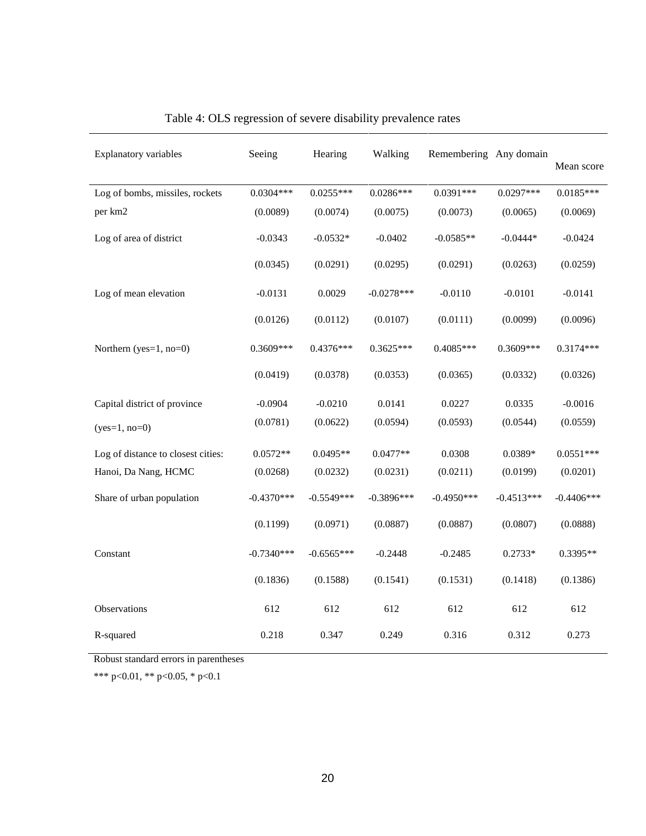| <b>Explanatory variables</b>       | Seeing       | Hearing      | Walking      | Remembering Any domain |              | Mean score   |
|------------------------------------|--------------|--------------|--------------|------------------------|--------------|--------------|
| Log of bombs, missiles, rockets    | $0.0304***$  | $0.0255***$  | $0.0286***$  | $0.0391***$            | $0.0297***$  | $0.0185***$  |
| per km2                            | (0.0089)     | (0.0074)     | (0.0075)     | (0.0073)               | (0.0065)     | (0.0069)     |
| Log of area of district            | $-0.0343$    | $-0.0532*$   | $-0.0402$    | $-0.0585**$            | $-0.0444*$   | $-0.0424$    |
|                                    | (0.0345)     | (0.0291)     | (0.0295)     | (0.0291)               | (0.0263)     | (0.0259)     |
| Log of mean elevation              | $-0.0131$    | 0.0029       | $-0.0278***$ | $-0.0110$              | $-0.0101$    | $-0.0141$    |
|                                    | (0.0126)     | (0.0112)     | (0.0107)     | (0.0111)               | (0.0099)     | (0.0096)     |
| Northern ( $yes=1$ , $no=0$ )      | 0.3609***    | $0.4376***$  | $0.3625***$  | $0.4085***$            | 0.3609***    | $0.3174***$  |
|                                    | (0.0419)     | (0.0378)     | (0.0353)     | (0.0365)               | (0.0332)     | (0.0326)     |
| Capital district of province       | $-0.0904$    | $-0.0210$    | 0.0141       | 0.0227                 | 0.0335       | $-0.0016$    |
| $(yes=1, no=0)$                    | (0.0781)     | (0.0622)     | (0.0594)     | (0.0593)               | (0.0544)     | (0.0559)     |
| Log of distance to closest cities: | $0.0572**$   | $0.0495**$   | $0.0477**$   | 0.0308                 | 0.0389*      | $0.0551***$  |
| Hanoi, Da Nang, HCMC               | (0.0268)     | (0.0232)     | (0.0231)     | (0.0211)               | (0.0199)     | (0.0201)     |
| Share of urban population          | $-0.4370***$ | $-0.5549***$ | $-0.3896***$ | $-0.4950***$           | $-0.4513***$ | $-0.4406***$ |
|                                    | (0.1199)     | (0.0971)     | (0.0887)     | (0.0887)               | (0.0807)     | (0.0888)     |
| Constant                           | $-0.7340***$ | $-0.6565***$ | $-0.2448$    | $-0.2485$              | $0.2733*$    | 0.3395**     |
|                                    | (0.1836)     | (0.1588)     | (0.1541)     | (0.1531)               | (0.1418)     | (0.1386)     |
| Observations                       | 612          | 612          | 612          | 612                    | 612          | 612          |
| R-squared                          | 0.218        | 0.347        | 0.249        | 0.316                  | 0.312        | 0.273        |

## Table 4: OLS regression of severe disability prevalence rates

Robust standard errors in parentheses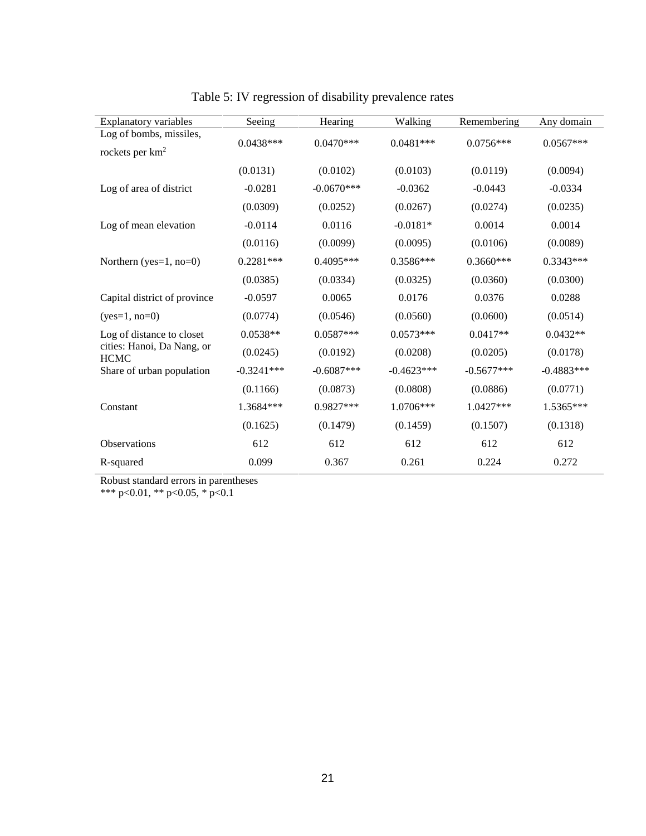| <b>Explanatory variables</b>              | Seeing       | Hearing      | Walking      | Remembering  | Any domain   |
|-------------------------------------------|--------------|--------------|--------------|--------------|--------------|
| Log of bombs, missiles,                   | $0.0438***$  | $0.0470***$  | $0.0481***$  | $0.0756***$  | $0.0567***$  |
| rockets per $km^2$                        |              |              |              |              |              |
|                                           | (0.0131)     | (0.0102)     | (0.0103)     | (0.0119)     | (0.0094)     |
| Log of area of district                   | $-0.0281$    | $-0.0670***$ | $-0.0362$    | $-0.0443$    | $-0.0334$    |
|                                           | (0.0309)     | (0.0252)     | (0.0267)     | (0.0274)     | (0.0235)     |
| Log of mean elevation                     | $-0.0114$    | 0.0116       | $-0.0181*$   | 0.0014       | 0.0014       |
|                                           | (0.0116)     | (0.0099)     | (0.0095)     | (0.0106)     | (0.0089)     |
| Northern ( $yes=1$ , $no=0$ )             | $0.2281***$  | $0.4095***$  | 0.3586***    | $0.3660***$  | $0.3343***$  |
|                                           | (0.0385)     | (0.0334)     | (0.0325)     | (0.0360)     | (0.0300)     |
| Capital district of province              | $-0.0597$    | 0.0065       | 0.0176       | 0.0376       | 0.0288       |
| $(yes=1, no=0)$                           | (0.0774)     | (0.0546)     | (0.0560)     | (0.0600)     | (0.0514)     |
| Log of distance to closet                 | $0.0538**$   | $0.0587***$  | $0.0573***$  | $0.0417**$   | $0.0432**$   |
| cities: Hanoi, Da Nang, or<br><b>HCMC</b> | (0.0245)     | (0.0192)     | (0.0208)     | (0.0205)     | (0.0178)     |
| Share of urban population                 | $-0.3241***$ | $-0.6087***$ | $-0.4623***$ | $-0.5677***$ | $-0.4883***$ |
|                                           | (0.1166)     | (0.0873)     | (0.0808)     | (0.0886)     | (0.0771)     |
| Constant                                  | 1.3684***    | $0.9827***$  | 1.0706***    | 1.0427***    | 1.5365***    |
|                                           | (0.1625)     | (0.1479)     | (0.1459)     | (0.1507)     | (0.1318)     |
| Observations                              | 612          | 612          | 612          | 612          | 612          |
| R-squared                                 | 0.099        | 0.367        | 0.261        | 0.224        | 0.272        |

Table 5: IV regression of disability prevalence rates

Robust standard errors in parentheses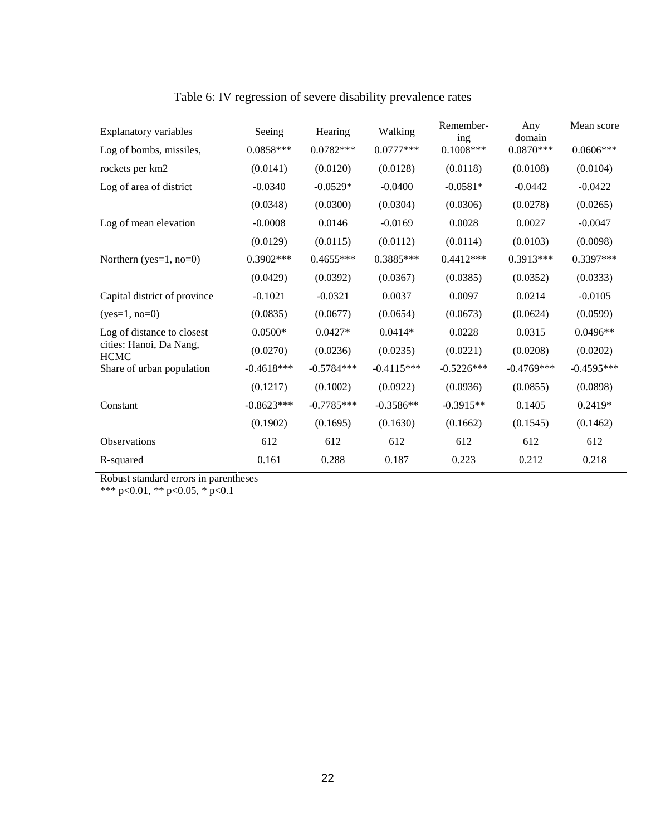| <b>Explanatory variables</b>           | Seeing       | Hearing      | Walking      | Remember-<br>ing | Any<br>domain | Mean score   |
|----------------------------------------|--------------|--------------|--------------|------------------|---------------|--------------|
| Log of bombs, missiles,                | $0.0858***$  | $0.0782***$  | $0.0777***$  | $0.1008***$      | $0.0870***$   | $0.0606***$  |
| rockets per km2                        | (0.0141)     | (0.0120)     | (0.0128)     | (0.0118)         | (0.0108)      | (0.0104)     |
| Log of area of district                | $-0.0340$    | $-0.0529*$   | $-0.0400$    | $-0.0581*$       | $-0.0442$     | $-0.0422$    |
|                                        | (0.0348)     | (0.0300)     | (0.0304)     | (0.0306)         | (0.0278)      | (0.0265)     |
| Log of mean elevation                  | $-0.0008$    | 0.0146       | $-0.0169$    | 0.0028           | 0.0027        | $-0.0047$    |
|                                        | (0.0129)     | (0.0115)     | (0.0112)     | (0.0114)         | (0.0103)      | (0.0098)     |
| Northern (yes= $1$ , no= $0$ )         | $0.3902***$  | $0.4655***$  | $0.3885***$  | $0.4412***$      | $0.3913***$   | 0.3397***    |
|                                        | (0.0429)     | (0.0392)     | (0.0367)     | (0.0385)         | (0.0352)      | (0.0333)     |
| Capital district of province           | $-0.1021$    | $-0.0321$    | 0.0037       | 0.0097           | 0.0214        | $-0.0105$    |
| $(yes=1, no=0)$                        | (0.0835)     | (0.0677)     | (0.0654)     | (0.0673)         | (0.0624)      | (0.0599)     |
| Log of distance to closest             | $0.0500*$    | $0.0427*$    | $0.0414*$    | 0.0228           | 0.0315        | $0.0496**$   |
| cities: Hanoi, Da Nang,<br><b>HCMC</b> | (0.0270)     | (0.0236)     | (0.0235)     | (0.0221)         | (0.0208)      | (0.0202)     |
| Share of urban population              | $-0.4618***$ | $-0.5784***$ | $-0.4115***$ | $-0.5226***$     | $-0.4769***$  | $-0.4595***$ |
|                                        | (0.1217)     | (0.1002)     | (0.0922)     | (0.0936)         | (0.0855)      | (0.0898)     |
| Constant                               | $-0.8623***$ | $-0.7785***$ | $-0.3586**$  | $-0.3915**$      | 0.1405        | $0.2419*$    |
|                                        | (0.1902)     | (0.1695)     | (0.1630)     | (0.1662)         | (0.1545)      | (0.1462)     |
| Observations                           | 612          | 612          | 612          | 612              | 612           | 612          |
| R-squared                              | 0.161        | 0.288        | 0.187        | 0.223            | 0.212         | 0.218        |
|                                        |              |              |              |                  |               |              |

Table 6: IV regression of severe disability prevalence rates

Robust standard errors in parentheses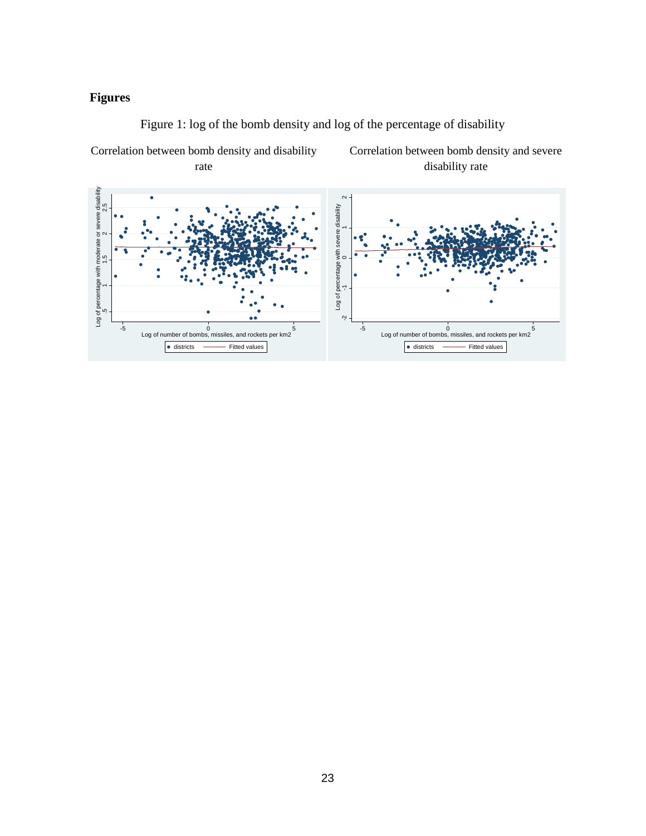## **Figures**

Correlation between bomb density and disability



Figure 1: log of the bomb density and log of the percentage of disability

Correlation between bomb density and severe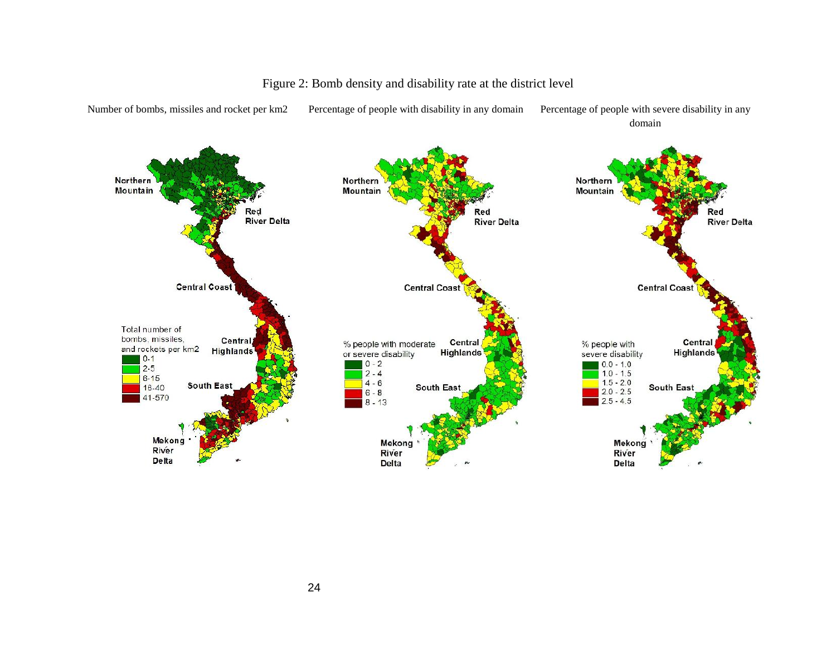

### Figure 2: Bomb density and disability rate at the district level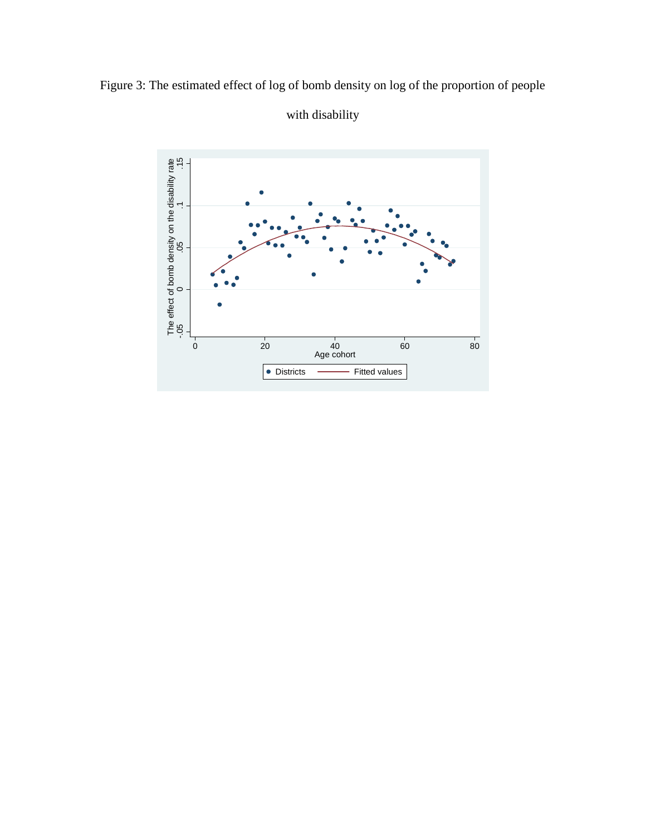



## with disability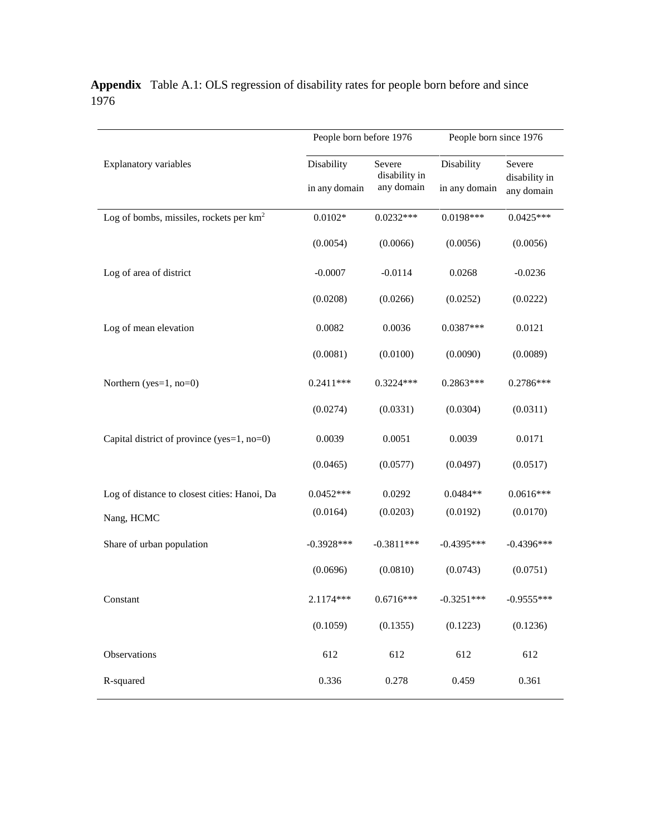|                                              | People born before 1976 |                         | People born since 1976 |                         |  |
|----------------------------------------------|-------------------------|-------------------------|------------------------|-------------------------|--|
| <b>Explanatory variables</b>                 | Disability              | Severe<br>disability in | Disability             | Severe<br>disability in |  |
|                                              | in any domain           | any domain              | in any domain          | any domain              |  |
| Log of bombs, missiles, rockets per $km2$    | $0.0102*$               | $0.0232***$             | $0.0198***$            | $0.0425***$             |  |
|                                              | (0.0054)                | (0.0066)                | (0.0056)               | (0.0056)                |  |
| Log of area of district                      | $-0.0007$               | $-0.0114$               | 0.0268                 | $-0.0236$               |  |
|                                              | (0.0208)                | (0.0266)                | (0.0252)               | (0.0222)                |  |
| Log of mean elevation                        | 0.0082                  | 0.0036                  | $0.0387***$            | 0.0121                  |  |
|                                              | (0.0081)                | (0.0100)                | (0.0090)               | (0.0089)                |  |
| Northern (yes=1, no=0)                       | $0.2411***$             | $0.3224***$             | $0.2863***$            | $0.2786***$             |  |
|                                              | (0.0274)                | (0.0331)                | (0.0304)               | (0.0311)                |  |
| Capital district of province (yes=1, no=0)   | 0.0039                  | 0.0051                  | 0.0039                 | 0.0171                  |  |
|                                              | (0.0465)                | (0.0577)                | (0.0497)               | (0.0517)                |  |
| Log of distance to closest cities: Hanoi, Da | $0.0452***$             | 0.0292                  | $0.0484**$             | $0.0616***$             |  |
| Nang, HCMC                                   | (0.0164)                | (0.0203)                | (0.0192)               | (0.0170)                |  |
| Share of urban population                    | $-0.3928***$            | $-0.3811***$            | $-0.4395***$           | $-0.4396***$            |  |
|                                              | (0.0696)                | (0.0810)                | (0.0743)               | (0.0751)                |  |
| Constant                                     | 2.1174***               | $0.6716***$             | $-0.3251***$           | $-0.9555***$            |  |
|                                              | (0.1059)                | (0.1355)                | (0.1223)               | (0.1236)                |  |
| Observations                                 | 612                     | 612                     | 612                    | 612                     |  |
| R-squared                                    | 0.336                   | 0.278                   | 0.459                  | 0.361                   |  |

**Appendix** Table A.1: OLS regression of disability rates for people born before and since 1976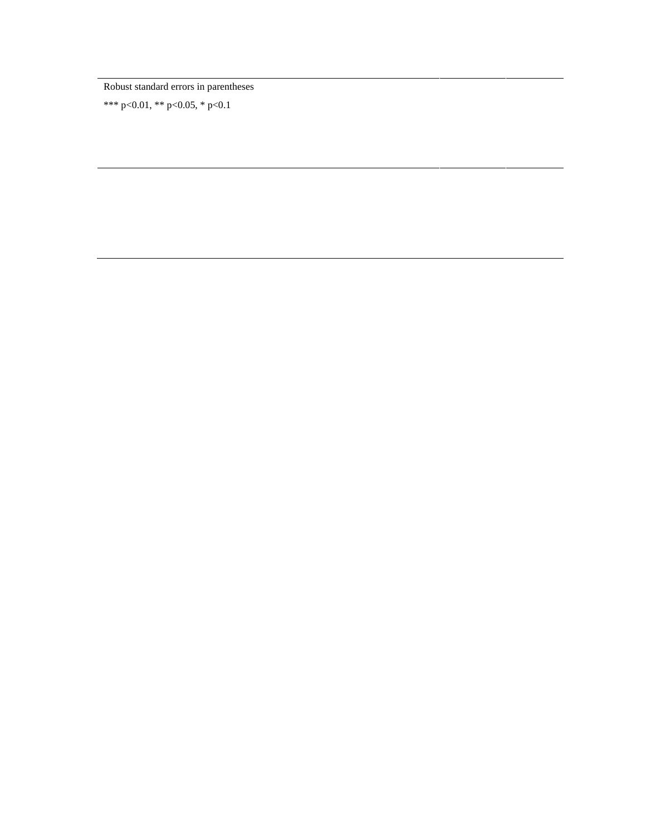Robust standard errors in parentheses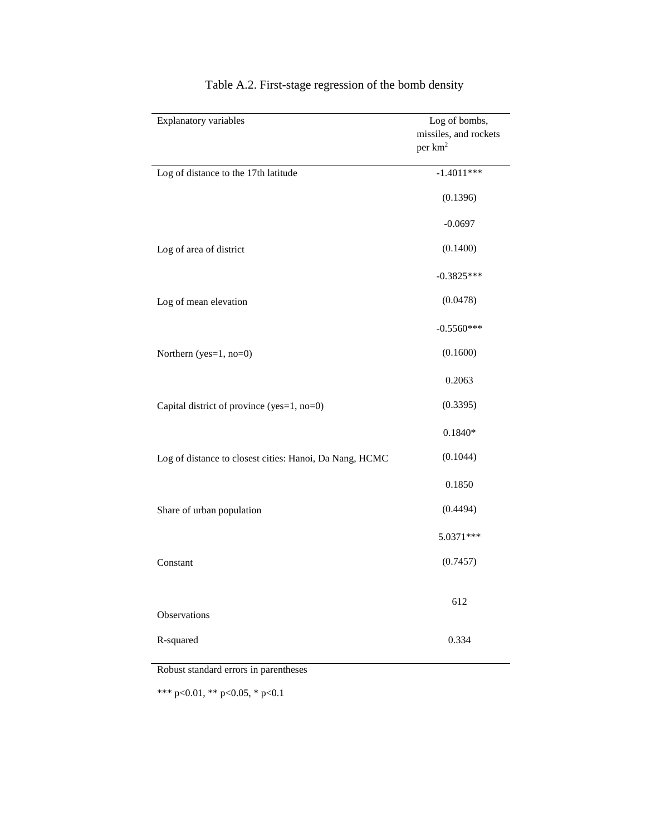| <b>Explanatory variables</b>                            | Log of bombs,<br>missiles, and rockets<br>per km <sup>2</sup> |
|---------------------------------------------------------|---------------------------------------------------------------|
| Log of distance to the 17th latitude                    | $-1.4011***$                                                  |
|                                                         | (0.1396)                                                      |
|                                                         | $-0.0697$                                                     |
| Log of area of district                                 | (0.1400)                                                      |
|                                                         | $-0.3825***$                                                  |
| Log of mean elevation                                   | (0.0478)                                                      |
|                                                         | $-0.5560***$                                                  |
| Northern (yes=1, no=0)                                  | (0.1600)                                                      |
|                                                         | 0.2063                                                        |
| Capital district of province (yes=1, no=0)              | (0.3395)                                                      |
|                                                         | $0.1840*$                                                     |
| Log of distance to closest cities: Hanoi, Da Nang, HCMC | (0.1044)                                                      |
|                                                         | 0.1850                                                        |
| Share of urban population                               | (0.4494)                                                      |
|                                                         | 5.0371 ***                                                    |
| Constant                                                | (0.7457)                                                      |
| Observations                                            | 612                                                           |
| R-squared                                               | 0.334                                                         |

## Table A.2. First-stage regression of the bomb density

Robust standard errors in parentheses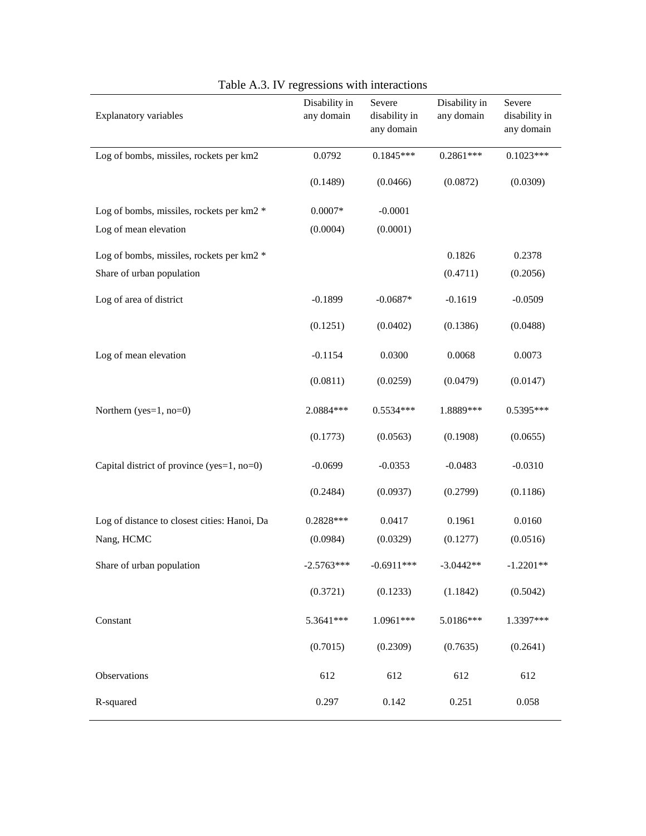| <b>Explanatory variables</b>                 | Disability in<br>any domain | Severe<br>disability in<br>any domain | Disability in<br>any domain | Severe<br>disability in<br>any domain |
|----------------------------------------------|-----------------------------|---------------------------------------|-----------------------------|---------------------------------------|
| Log of bombs, missiles, rockets per km2      | 0.0792                      | $0.1845***$                           | $0.2861***$                 | $0.1023***$                           |
|                                              | (0.1489)                    | (0.0466)                              | (0.0872)                    | (0.0309)                              |
| Log of bombs, missiles, rockets per km2 *    | $0.0007*$                   | $-0.0001$                             |                             |                                       |
| Log of mean elevation                        | (0.0004)                    | (0.0001)                              |                             |                                       |
| Log of bombs, missiles, rockets per km2 *    |                             |                                       | 0.1826                      | 0.2378                                |
| Share of urban population                    |                             |                                       | (0.4711)                    | (0.2056)                              |
| Log of area of district                      | $-0.1899$                   | $-0.0687*$                            | $-0.1619$                   | $-0.0509$                             |
|                                              | (0.1251)                    | (0.0402)                              | (0.1386)                    | (0.0488)                              |
| Log of mean elevation                        | $-0.1154$                   | 0.0300                                | 0.0068                      | 0.0073                                |
|                                              | (0.0811)                    | (0.0259)                              | (0.0479)                    | (0.0147)                              |
| Northern (yes= $1$ , no= $0$ )               | 2.0884 ***                  | $0.5534***$                           | 1.8889***                   | 0.5395***                             |
|                                              | (0.1773)                    | (0.0563)                              | (0.1908)                    | (0.0655)                              |
| Capital district of province (yes=1, no=0)   | $-0.0699$                   | $-0.0353$                             | $-0.0483$                   | $-0.0310$                             |
|                                              | (0.2484)                    | (0.0937)                              | (0.2799)                    | (0.1186)                              |
| Log of distance to closest cities: Hanoi, Da | $0.2828***$                 | 0.0417                                | 0.1961                      | 0.0160                                |
| Nang, HCMC                                   | (0.0984)                    | (0.0329)                              | (0.1277)                    | (0.0516)                              |
| Share of urban population                    | $-2.5763***$                | $-0.6911***$                          | $-3.0442**$                 | $-1.2201**$                           |
|                                              | (0.3721)                    | (0.1233)                              | (1.1842)                    | (0.5042)                              |
| Constant                                     | 5.3641***                   | 1.0961***                             | 5.0186***                   | 1.3397***                             |
|                                              | (0.7015)                    | (0.2309)                              | (0.7635)                    | (0.2641)                              |
| Observations                                 | 612                         | 612                                   | 612                         | 612                                   |
| R-squared                                    | 0.297                       | 0.142                                 | 0.251                       | 0.058                                 |

Table A.3. IV regressions with interactions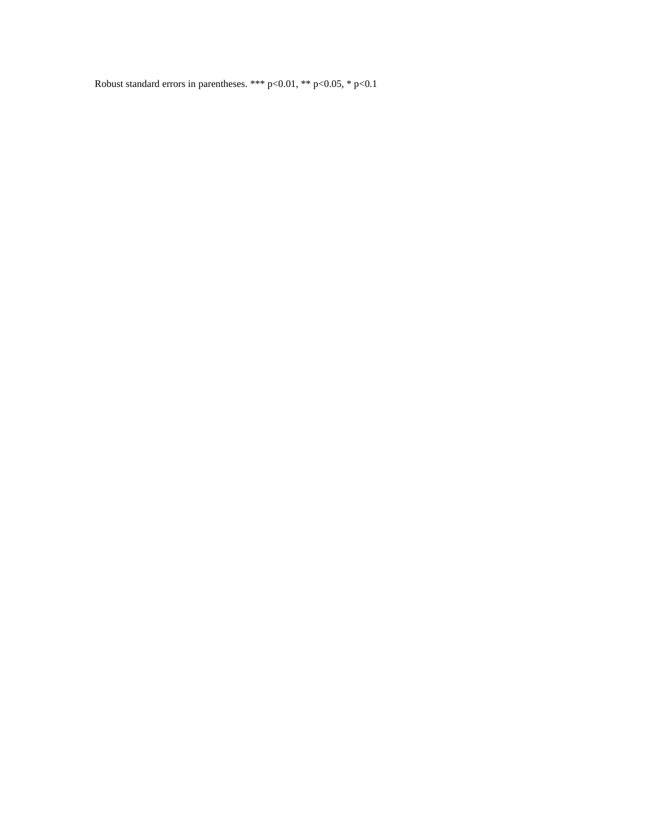Robust standard errors in parentheses. \*\*\* p<0.01, \*\* p<0.05, \* p<0.1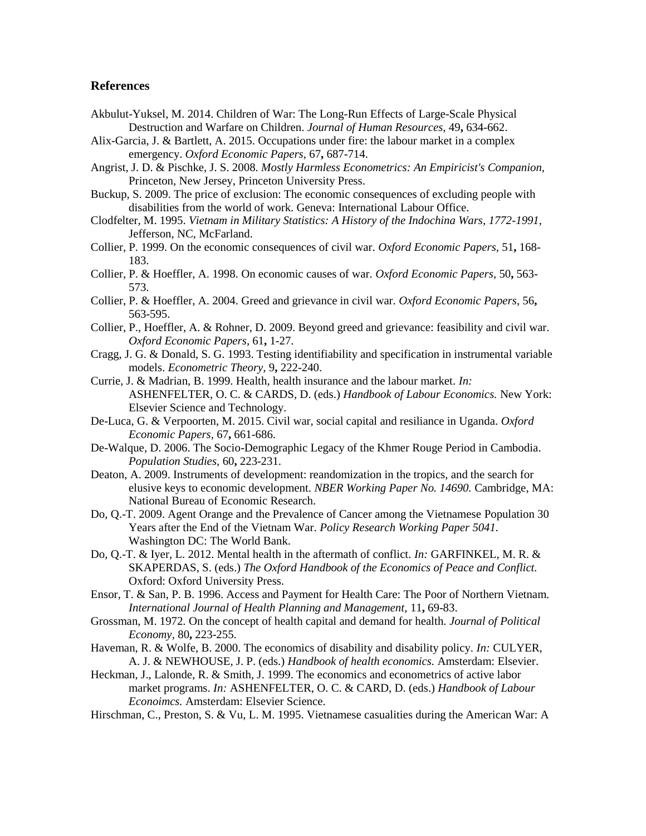#### **References**

- Akbulut-Yuksel, M. 2014. Children of War: The Long-Run Effects of Large-Scale Physical Destruction and Warfare on Children. *Journal of Human Resources,* 49**,** 634-662.
- Alix-Garcia, J. & Bartlett, A. 2015. Occupations under fire: the labour market in a complex emergency. *Oxford Economic Papers,* 67**,** 687-714.
- Angrist, J. D. & Pischke, J. S. 2008. *Mostly Harmless Econometrics: An Empiricist's Companion,* Princeton, New Jersey, Princeton University Press.
- Buckup, S. 2009. The price of exclusion: The economic consequences of excluding people with disabilities from the world of work. Geneva: International Labour Office.
- Clodfelter, M. 1995. *Vietnam in Military Statistics: A History of the Indochina Wars, 1772-1991,* Jefferson, NC, McFarland.
- Collier, P. 1999. On the economic consequences of civil war. *Oxford Economic Papers,* 51**,** 168- 183.
- Collier, P. & Hoeffler, A. 1998. On economic causes of war. *Oxford Economic Papers,* 50**,** 563- 573.
- Collier, P. & Hoeffler, A. 2004. Greed and grievance in civil war. *Oxford Economic Papers,* 56**,** 563-595.
- Collier, P., Hoeffler, A. & Rohner, D. 2009. Beyond greed and grievance: feasibility and civil war. *Oxford Economic Papers,* 61**,** 1-27.
- Cragg, J. G. & Donald, S. G. 1993. Testing identifiability and specification in instrumental variable models. *Econometric Theory,* 9**,** 222-240.
- Currie, J. & Madrian, B. 1999. Health, health insurance and the labour market. *In:* ASHENFELTER, O. C. & CARDS, D. (eds.) *Handbook of Labour Economics.* New York: Elsevier Science and Technology.
- De-Luca, G. & Verpoorten, M. 2015. Civil war, social capital and resiliance in Uganda. *Oxford Economic Papers,* 67**,** 661-686.
- De-Walque, D. 2006. The Socio-Demographic Legacy of the Khmer Rouge Period in Cambodia. *Population Studies,* 60**,** 223-231.
- Deaton, A. 2009. Instruments of development: reandomization in the tropics, and the search for elusive keys to economic development. *NBER Working Paper No. 14690.* Cambridge, MA: National Bureau of Economic Research.
- Do, Q.-T. 2009. Agent Orange and the Prevalence of Cancer among the Vietnamese Population 30 Years after the End of the Vietnam War. *Policy Research Working Paper 5041.* Washington DC: The World Bank.
- Do, Q.-T. & Iyer, L. 2012. Mental health in the aftermath of conflict. *In:* GARFINKEL, M. R. & SKAPERDAS, S. (eds.) *The Oxford Handbook of the Economics of Peace and Conflict.* Oxford: Oxford University Press.
- Ensor, T. & San, P. B. 1996. Access and Payment for Health Care: The Poor of Northern Vietnam. *International Journal of Health Planning and Management,* 11**,** 69-83.
- Grossman, M. 1972. On the concept of health capital and demand for health. *Journal of Political Economy,* 80**,** 223-255.
- Haveman, R. & Wolfe, B. 2000. The economics of disability and disability policy. *In:* CULYER, A. J. & NEWHOUSE, J. P. (eds.) *Handbook of health economics.* Amsterdam: Elsevier.
- Heckman, J., Lalonde, R. & Smith, J. 1999. The economics and econometrics of active labor market programs. *In:* ASHENFELTER, O. C. & CARD, D. (eds.) *Handbook of Labour Econoimcs.* Amsterdam: Elsevier Science.
- Hirschman, C., Preston, S. & Vu, L. M. 1995. Vietnamese casualities during the American War: A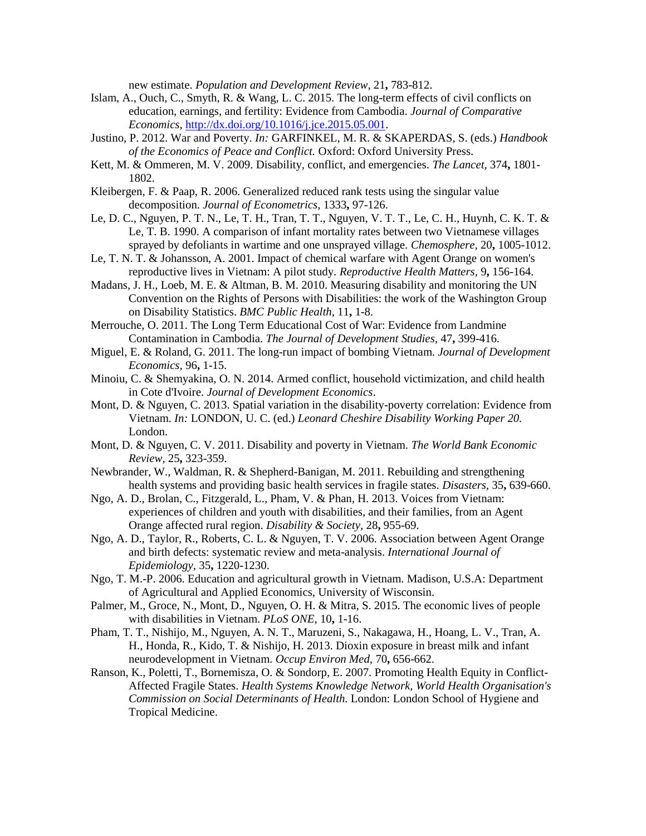new estimate. *Population and Development Review,* 21**,** 783-812.

- Islam, A., Ouch, C., Smyth, R. & Wang, L. C. 2015. The long-term effects of civil conflicts on education, earnings, and fertility: Evidence from Cambodia. *Journal of Comparative Economics,* http://dx.doi.org/10.1016/j.jce.2015.05.001.
- Justino, P. 2012. War and Poverty. *In:* GARFINKEL, M. R. & SKAPERDAS, S. (eds.) *Handbook of the Economics of Peace and Conflict.* Oxford: Oxford University Press.
- Kett, M. & Ommeren, M. V. 2009. Disability, conflict, and emergencies. *The Lancet,* 374**,** 1801- 1802.
- Kleibergen, F. & Paap, R. 2006. Generalized reduced rank tests using the singular value decomposition. *Journal of Econometrics,* 1333**,** 97-126.
- Le, D. C., Nguyen, P. T. N., Le, T. H., Tran, T. T., Nguyen, V. T. T., Le, C. H., Huynh, C. K. T. & Le, T. B. 1990. A comparison of infant mortality rates between two Vietnamese villages sprayed by defoliants in wartime and one unsprayed village. *Chemosphere,* 20**,** 1005-1012.
- Le, T. N. T. & Johansson, A. 2001. Impact of chemical warfare with Agent Orange on women's reproductive lives in Vietnam: A pilot study. *Reproductive Health Matters,* 9**,** 156-164.
- Madans, J. H., Loeb, M. E. & Altman, B. M. 2010. Measuring disability and monitoring the UN Convention on the Rights of Persons with Disabilities: the work of the Washington Group on Disability Statistics. *BMC Public Health,* 11**,** 1-8.
- Merrouche, O. 2011. The Long Term Educational Cost of War: Evidence from Landmine Contamination in Cambodia. *The Journal of Development Studies,* 47**,** 399-416.
- Miguel, E. & Roland, G. 2011. The long-run impact of bombing Vietnam. *Journal of Development Economics,* 96**,** 1-15.
- Minoiu, C. & Shemyakina, O. N. 2014. Armed conflict, household victimization, and child health in Cote d'Ivoire. *Journal of Development Economics*.
- Mont, D. & Nguyen, C. 2013. Spatial variation in the disability-poverty correlation: Evidence from Vietnam. *In:* LONDON, U. C. (ed.) *Leonard Cheshire Disability Working Paper 20.* London.
- Mont, D. & Nguyen, C. V. 2011. Disability and poverty in Vietnam. *The World Bank Economic Review,* 25**,** 323-359.
- Newbrander, W., Waldman, R. & Shepherd-Banigan, M. 2011. Rebuilding and strengthening health systems and providing basic health services in fragile states. *Disasters,* 35**,** 639-660.
- Ngo, A. D., Brolan, C., Fitzgerald, L., Pham, V. & Phan, H. 2013. Voices from Vietnam: experiences of children and youth with disabilities, and their families, from an Agent Orange affected rural region. *Disability & Society,* 28**,** 955-69.
- Ngo, A. D., Taylor, R., Roberts, C. L. & Nguyen, T. V. 2006. Association between Agent Orange and birth defects: systematic review and meta-analysis. *International Journal of Epidemiology,* 35**,** 1220-1230.
- Ngo, T. M.-P. 2006. Education and agricultural growth in Vietnam. Madison, U.S.A: Department of Agricultural and Applied Economics, University of Wisconsin.
- Palmer, M., Groce, N., Mont, D., Nguyen, O. H. & Mitra, S. 2015. The economic lives of people with disabilities in Vietnam. *PLoS ONE,* 10**,** 1-16.
- Pham, T. T., Nishijo, M., Nguyen, A. N. T., Maruzeni, S., Nakagawa, H., Hoang, L. V., Tran, A. H., Honda, R., Kido, T. & Nishijo, H. 2013. Dioxin exposure in breast milk and infant neurodevelopment in Vietnam. *Occup Environ Med,* 70**,** 656-662.
- Ranson, K., Poletti, T., Bornemisza, O. & Sondorp, E. 2007. Promoting Health Equity in Conflict- Affected Fragile States. *Health Systems Knowledge Network, World Health Organisation's Commission on Social Determinants of Health.* London: London School of Hygiene and Tropical Medicine.